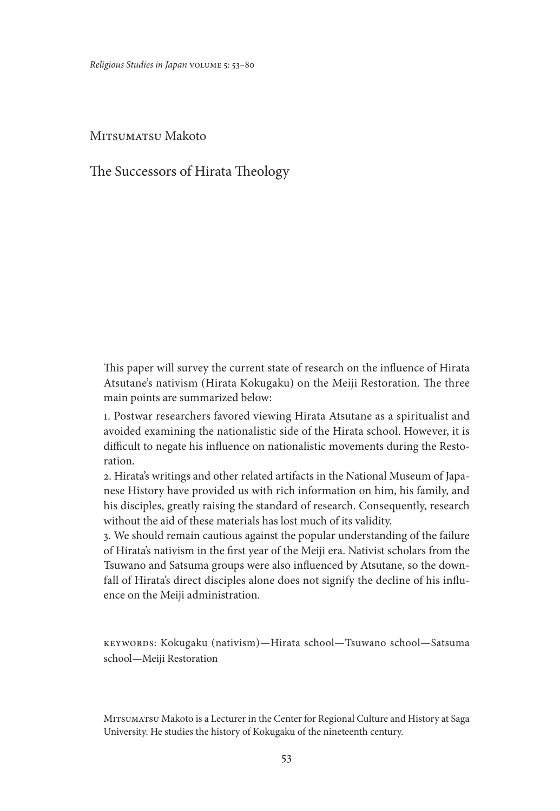*Religious Studies in Japan* volume 5: 53–80

MITSUMATSU Makoto

The Successors of Hirata Theology

This paper will survey the current state of research on the influence of Hirata Atsutane's nativism (Hirata Kokugaku) on the Meiji Restoration. The three main points are summarized below:

1. Postwar researchers favored viewing Hirata Atsutane as a spiritualist and avoided examining the nationalistic side of the Hirata school. However, it is difficult to negate his influence on nationalistic movements during the Restoration.

2. Hirata's writings and other related artifacts in the National Museum of Japanese History have provided us with rich information on him, his family, and his disciples, greatly raising the standard of research. Consequently, research without the aid of these materials has lost much of its validity.

3. We should remain cautious against the popular understanding of the failure of Hirata's nativism in the first year of the Meiji era. Nativist scholars from the Tsuwano and Satsuma groups were also influenced by Atsutane, so the downfall of Hirata's direct disciples alone does not signify the decline of his influence on the Meiji administration.

keywords: Kokugaku (nativism)—Hirata school—Tsuwano school—Satsuma school—Meiji Restoration

Mitsumatsu Makoto is a Lecturer in the Center for Regional Culture and History at Saga University. He studies the history of Kokugaku of the nineteenth century.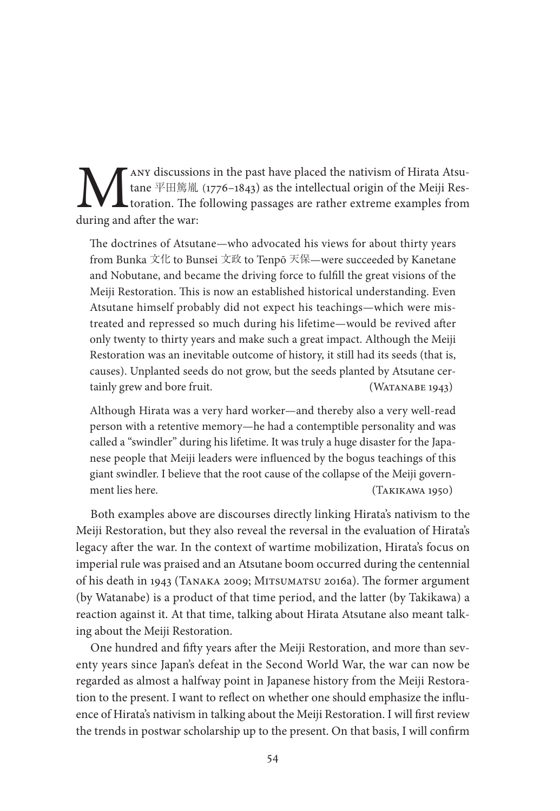**MANY** discussions in the past have placed the nativism of Hirata Atsu-<br>tane  $\Psi \boxplus \text{m} \text{m}$  (1776–1843) as the intellectual origin of the Meiji Res-<br>during and after the war: tane 平田篤胤 (1776–1843) as the intellectual origin of the Meiji Restoration. The following passages are rather extreme examples from during and after the war:

The doctrines of Atsutane—who advocated his views for about thirty years from Bunka 文化 to Bunsei 文政 to Tenpō 天保—were succeeded by Kanetane and Nobutane, and became the driving force to fulfill the great visions of the Meiji Restoration. This is now an established historical understanding. Even Atsutane himself probably did not expect his teachings—which were mistreated and repressed so much during his lifetime—would be revived after only twenty to thirty years and make such a great impact. Although the Meiji Restoration was an inevitable outcome of history, it still had its seeds (that is, causes). Unplanted seeds do not grow, but the seeds planted by Atsutane certainly grew and bore fruit. (WATANABE 1943)

Although Hirata was a very hard worker—and thereby also a very well-read person with a retentive memory—he had a contemptible personality and was called a "swindler" during his lifetime. It was truly a huge disaster for the Japanese people that Meiji leaders were influenced by the bogus teachings of this giant swindler. I believe that the root cause of the collapse of the Meiji government lies here. (Takikawa 1950)

Both examples above are discourses directly linking Hirata's nativism to the Meiji Restoration, but they also reveal the reversal in the evaluation of Hirata's legacy after the war. In the context of wartime mobilization, Hirata's focus on imperial rule was praised and an Atsutane boom occurred during the centennial of his death in 1943 (Tanaka 2009; Mitsumatsu 2016a). The former argument (by Watanabe) is a product of that time period, and the latter (by Takikawa) a reaction against it. At that time, talking about Hirata Atsutane also meant talking about the Meiji Restoration.

One hundred and fifty years after the Meiji Restoration, and more than seventy years since Japan's defeat in the Second World War, the war can now be regarded as almost a halfway point in Japanese history from the Meiji Restoration to the present. I want to reflect on whether one should emphasize the influence of Hirata's nativism in talking about the Meiji Restoration. I will first review the trends in postwar scholarship up to the present. On that basis, I will confirm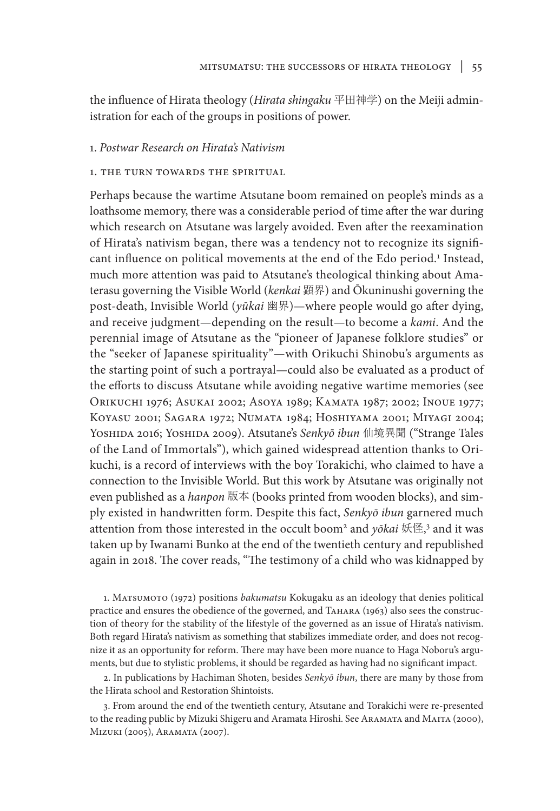the influence of Hirata theology (*Hirata shingaku* 平田神学) on the Meiji administration for each of the groups in positions of power.

### 1. *Postwar Research on Hirata's Nativism*

## 1. the turn towards the spiritual

Perhaps because the wartime Atsutane boom remained on people's minds as a loathsome memory, there was a considerable period of time after the war during which research on Atsutane was largely avoided. Even after the reexamination of Hirata's nativism began, there was a tendency not to recognize its significant influence on political movements at the end of the Edo period.<sup>1</sup> Instead, much more attention was paid to Atsutane's theological thinking about Amaterasu governing the Visible World (*kenkai* 顕界) and Ōkuninushi governing the post-death, Invisible World (*yūkai* 幽界)—where people would go after dying, and receive judgment—depending on the result—to become a *kami*. And the perennial image of Atsutane as the "pioneer of Japanese folklore studies" or the "seeker of Japanese spirituality"—with Orikuchi Shinobu's arguments as the starting point of such a portrayal—could also be evaluated as a product of the efforts to discuss Atsutane while avoiding negative wartime memories (see Orikuchi 1976; Asukai 2002; Asoya 1989; Kamata 1987; 2002; Inoue 1977; Koyasu 2001; Sagara 1972; Numata 1984; Hoshiyama 2001; Miyagi 2004; Yoshida 2016; Yoshida 2009). Atsutane's *Senkyō ibun* 仙境異聞 ("Strange Tales of the Land of Immortals"), which gained widespread attention thanks to Orikuchi, is a record of interviews with the boy Torakichi, who claimed to have a connection to the Invisible World. But this work by Atsutane was originally not even published as a *hanpon* 版本 (books printed from wooden blocks), and simply existed in handwritten form. Despite this fact, *Senkyō ibun* garnered much attention from those interested in the occult boom<sup>2</sup> and *yōkai* 妖怪, <sup>3</sup> and it was taken up by Iwanami Bunko at the end of the twentieth century and republished again in 2018. The cover reads, "The testimony of a child who was kidnapped by

1. Matsumoto (1972) positions *bakumatsu* Kokugaku as an ideology that denies political practice and ensures the obedience of the governed, and Tahara (1963) also sees the construction of theory for the stability of the lifestyle of the governed as an issue of Hirata's nativism. Both regard Hirata's nativism as something that stabilizes immediate order, and does not recognize it as an opportunity for reform. There may have been more nuance to Haga Noboru's arguments, but due to stylistic problems, it should be regarded as having had no significant impact.

2. In publications by Hachiman Shoten, besides *Senkyō ibun*, there are many by those from the Hirata school and Restoration Shintoists.

3. From around the end of the twentieth century, Atsutane and Torakichi were re-presented to the reading public by Mizuki Shigeru and Aramata Hiroshi. See Aramata and Maita (2000), Mizuki (2005), Aramata (2007).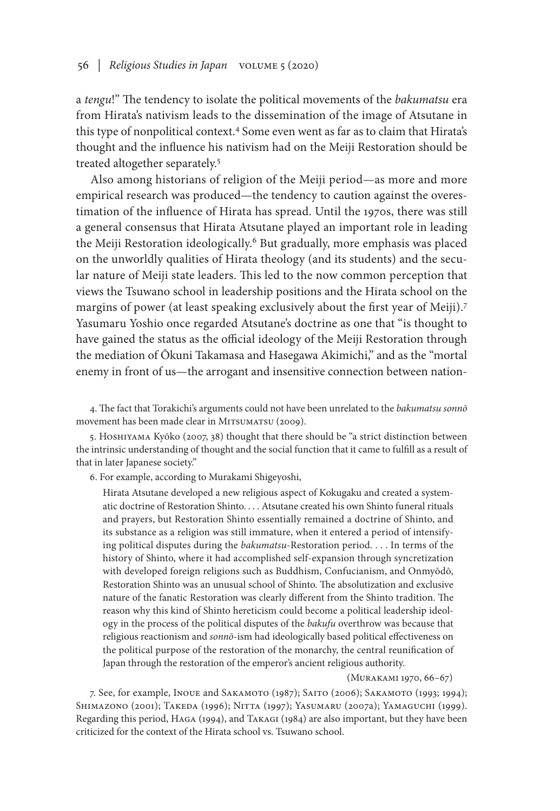a *tengu*!" The tendency to isolate the political movements of the *bakumatsu* era from Hirata's nativism leads to the dissemination of the image of Atsutane in this type of nonpolitical context.4 Some even went as far as to claim that Hirata's thought and the influence his nativism had on the Meiji Restoration should be treated altogether separately.5

Also among historians of religion of the Meiji period—as more and more empirical research was produced—the tendency to caution against the overestimation of the influence of Hirata has spread. Until the 1970s, there was still a general consensus that Hirata Atsutane played an important role in leading the Meiji Restoration ideologically.<sup>6</sup> But gradually, more emphasis was placed on the unworldly qualities of Hirata theology (and its students) and the secular nature of Meiji state leaders. This led to the now common perception that views the Tsuwano school in leadership positions and the Hirata school on the margins of power (at least speaking exclusively about the first year of Meiji).<sup>7</sup> Yasumaru Yoshio once regarded Atsutane's doctrine as one that "is thought to have gained the status as the official ideology of the Meiji Restoration through the mediation of Ōkuni Takamasa and Hasegawa Akimichi," and as the "mortal enemy in front of us—the arrogant and insensitive connection between nation-

4. The fact that Torakichi's arguments could not have been unrelated to the *bakumatsu sonnō*  movement has been made clear in MITSUMATSU (2009).

5. HOSHIYAMA Kyōko (2007, 38) thought that there should be "a strict distinction between the intrinsic understanding of thought and the social function that it came to fulfill as a result of that in later Japanese society."

6. For example, according to Murakami Shigeyoshi,

Hirata Atsutane developed a new religious aspect of Kokugaku and created a systematic doctrine of Restoration Shinto. . . . Atsutane created his own Shinto funeral rituals and prayers, but Restoration Shinto essentially remained a doctrine of Shinto, and its substance as a religion was still immature, when it entered a period of intensifying political disputes during the *bakumatsu*-Restoration period. . . . In terms of the history of Shinto, where it had accomplished self-expansion through syncretization with developed foreign religions such as Buddhism, Confucianism, and Onmyōdō, Restoration Shinto was an unusual school of Shinto. The absolutization and exclusive nature of the fanatic Restoration was clearly different from the Shinto tradition. The reason why this kind of Shinto hereticism could become a political leadership ideology in the process of the political disputes of the *bakufu* overthrow was because that religious reactionism and *sonnō*-ism had ideologically based political effectiveness on the political purpose of the restoration of the monarchy, the central reunification of Japan through the restoration of the emperor's ancient religious authority.

#### (Murakami 1970, 66–67)

7. See, for example, Inoue and SAKAMOTO (1987); SAITO (2006); SAKAMOTO (1993; 1994); SHIMAZONO (2001); TAKEDA (1996); NITTA (1997); YASUMARU (2007a); YAMAGUCHI (1999). Regarding this period, Haga (1994), and Takagi (1984) are also important, but they have been criticized for the context of the Hirata school vs. Tsuwano school.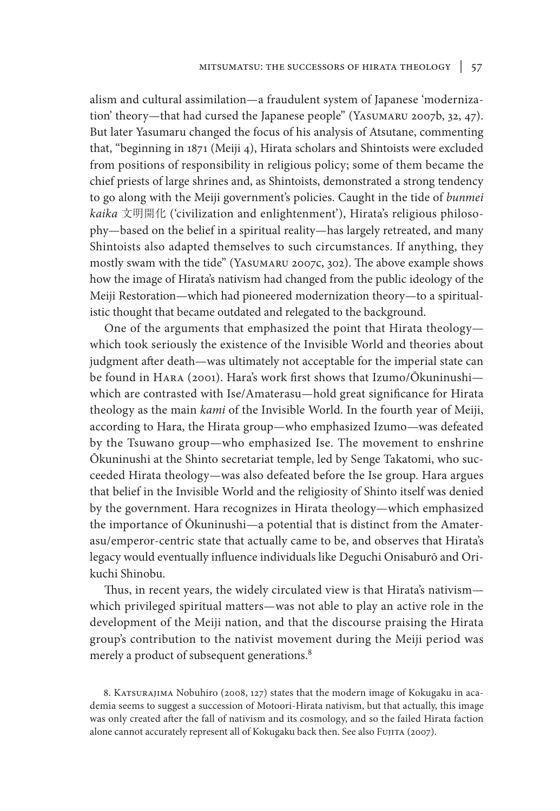alism and cultural assimilation—a fraudulent system of Japanese 'modernization' theory—that had cursed the Japanese people" (YASUMARU 2007b, 32, 47). But later Yasumaru changed the focus of his analysis of Atsutane, commenting that, "beginning in 1871 (Meiji 4), Hirata scholars and Shintoists were excluded from positions of responsibility in religious policy; some of them became the chief priests of large shrines and, as Shintoists, demonstrated a strong tendency to go along with the Meiji government's policies. Caught in the tide of *bunmei kaika* 文明開化 ('civilization and enlightenment'), Hirata's religious philosophy—based on the belief in a spiritual reality—has largely retreated, and many Shintoists also adapted themselves to such circumstances. If anything, they mostly swam with the tide" (Yasumaru 2007c, 302). The above example shows how the image of Hirata's nativism had changed from the public ideology of the Meiji Restoration—which had pioneered modernization theory—to a spiritualistic thought that became outdated and relegated to the background.

One of the arguments that emphasized the point that Hirata theology which took seriously the existence of the Invisible World and theories about judgment after death—was ultimately not acceptable for the imperial state can be found in Hara (2001). Hara's work first shows that Izumo/Ōkuninushi which are contrasted with Ise/Amaterasu—hold great significance for Hirata theology as the main *kami* of the Invisible World. In the fourth year of Meiji, according to Hara, the Hirata group—who emphasized Izumo—was defeated by the Tsuwano group—who emphasized Ise. The movement to enshrine Ōkuninushi at the Shinto secretariat temple, led by Senge Takatomi, who succeeded Hirata theology—was also defeated before the Ise group. Hara argues that belief in the Invisible World and the religiosity of Shinto itself was denied by the government. Hara recognizes in Hirata theology—which emphasized the importance of Ōkuninushi—a potential that is distinct from the Amaterasu/emperor-centric state that actually came to be, and observes that Hirata's legacy would eventually influence individuals like Deguchi Onisaburō and Orikuchi Shinobu.

Thus, in recent years, the widely circulated view is that Hirata's nativism which privileged spiritual matters—was not able to play an active role in the development of the Meiji nation, and that the discourse praising the Hirata group's contribution to the nativist movement during the Meiji period was merely a product of subsequent generations.<sup>8</sup>

8. KATSURAJIMA Nobuhiro (2008, 127) states that the modern image of Kokugaku in academia seems to suggest a succession of Motoori-Hirata nativism, but that actually, this image was only created after the fall of nativism and its cosmology, and so the failed Hirata faction alone cannot accurately represent all of Kokugaku back then. See also Fujita (2007).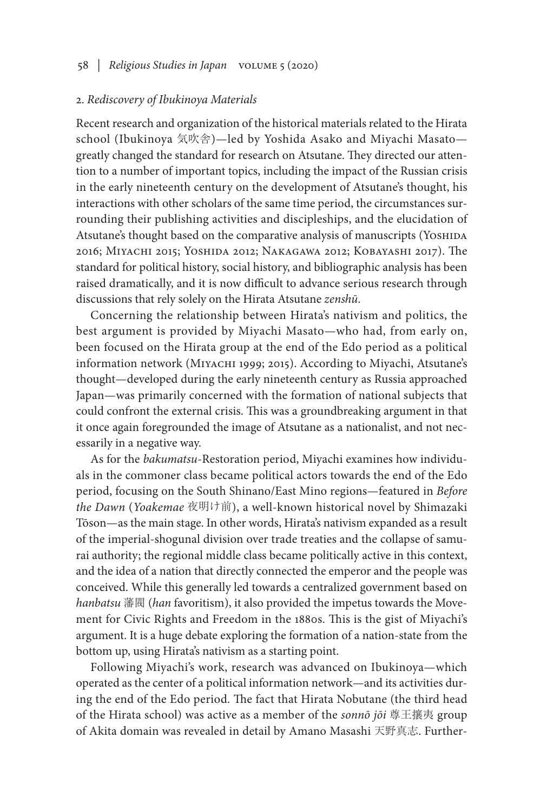# 58 *| Religious Studies in Japan* volume 5 (2020)

### 2. *Rediscovery of Ibukinoya Materials*

Recent research and organization of the historical materials related to the Hirata school (Ibukinoya 気吹舎)—led by Yoshida Asako and Miyachi Masato greatly changed the standard for research on Atsutane. They directed our attention to a number of important topics, including the impact of the Russian crisis in the early nineteenth century on the development of Atsutane's thought, his interactions with other scholars of the same time period, the circumstances surrounding their publishing activities and discipleships, and the elucidation of Atsutane's thought based on the comparative analysis of manuscripts (YosHIDA 2016; Miyachi 2015; Yoshida 2012; Nakagawa 2012; Kobayashi 2017). The standard for political history, social history, and bibliographic analysis has been raised dramatically, and it is now difficult to advance serious research through discussions that rely solely on the Hirata Atsutane *zenshū*.

Concerning the relationship between Hirata's nativism and politics, the best argument is provided by Miyachi Masato—who had, from early on, been focused on the Hirata group at the end of the Edo period as a political information network (MIYACHI 1999; 2015). According to Miyachi, Atsutane's thought—developed during the early nineteenth century as Russia approached Japan—was primarily concerned with the formation of national subjects that could confront the external crisis. This was a groundbreaking argument in that it once again foregrounded the image of Atsutane as a nationalist, and not necessarily in a negative way.

As for the *bakumatsu*-Restoration period, Miyachi examines how individuals in the commoner class became political actors towards the end of the Edo period, focusing on the South Shinano/East Mino regions—featured in *Before the Dawn* (*Yoakemae* 夜明け前), a well-known historical novel by Shimazaki Tōson—as the main stage. In other words, Hirata's nativism expanded as a result of the imperial-shogunal division over trade treaties and the collapse of samurai authority; the regional middle class became politically active in this context, and the idea of a nation that directly connected the emperor and the people was conceived. While this generally led towards a centralized government based on *hanbatsu* 藩閥 (*han* favoritism), it also provided the impetus towards the Movement for Civic Rights and Freedom in the 1880s. This is the gist of Miyachi's argument. It is a huge debate exploring the formation of a nation-state from the bottom up, using Hirata's nativism as a starting point.

Following Miyachi's work, research was advanced on Ibukinoya—which operated as the center of a political information network—and its activities during the end of the Edo period. The fact that Hirata Nobutane (the third head of the Hirata school) was active as a member of the *sonnō jōi* 尊王攘夷 group of Akita domain was revealed in detail by Amano Masashi 天野真志. Further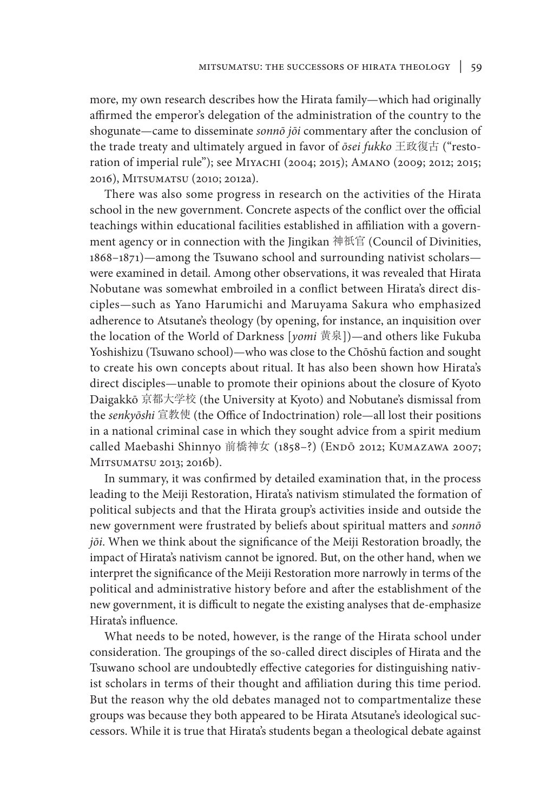more, my own research describes how the Hirata family—which had originally affirmed the emperor's delegation of the administration of the country to the shogunate—came to disseminate *sonnō jōi* commentary after the conclusion of the trade treaty and ultimately argued in favor of *ōsei fukko* 王政復古 ("restoration of imperial rule"); see МIYACHI (2004; 2015); Амано (2009; 2012; 2015; 2016), Mitsumatsu (2010; 2012a).

There was also some progress in research on the activities of the Hirata school in the new government. Concrete aspects of the conflict over the official teachings within educational facilities established in affiliation with a government agency or in connection with the Jingikan 神祇官 (Council of Divinities, 1868–1871)—among the Tsuwano school and surrounding nativist scholars were examined in detail. Among other observations, it was revealed that Hirata Nobutane was somewhat embroiled in a conflict between Hirata's direct disciples—such as Yano Harumichi and Maruyama Sakura who emphasized adherence to Atsutane's theology (by opening, for instance, an inquisition over the location of the World of Darkness [*yomi* 黄泉])—and others like Fukuba Yoshishizu (Tsuwano school)—who was close to the Chōshū faction and sought to create his own concepts about ritual. It has also been shown how Hirata's direct disciples—unable to promote their opinions about the closure of Kyoto Daigakkō 京都大学校 (the University at Kyoto) and Nobutane's dismissal from the *senkyōshi* 宣教使 (the Office of Indoctrination) role—all lost their positions in a national criminal case in which they sought advice from a spirit medium called Maebashi Shinnyo 前橋神女 (1858-?) (ENDŌ 2012; KUMAZAWA 2007; MITSUMATSU 2013; 2016b).

In summary, it was confirmed by detailed examination that, in the process leading to the Meiji Restoration, Hirata's nativism stimulated the formation of political subjects and that the Hirata group's activities inside and outside the new government were frustrated by beliefs about spiritual matters and *sonnō jōi*. When we think about the significance of the Meiji Restoration broadly, the impact of Hirata's nativism cannot be ignored. But, on the other hand, when we interpret the significance of the Meiji Restoration more narrowly in terms of the political and administrative history before and after the establishment of the new government, it is difficult to negate the existing analyses that de-emphasize Hirata's influence.

What needs to be noted, however, is the range of the Hirata school under consideration. The groupings of the so-called direct disciples of Hirata and the Tsuwano school are undoubtedly effective categories for distinguishing nativist scholars in terms of their thought and affiliation during this time period. But the reason why the old debates managed not to compartmentalize these groups was because they both appeared to be Hirata Atsutane's ideological successors. While it is true that Hirata's students began a theological debate against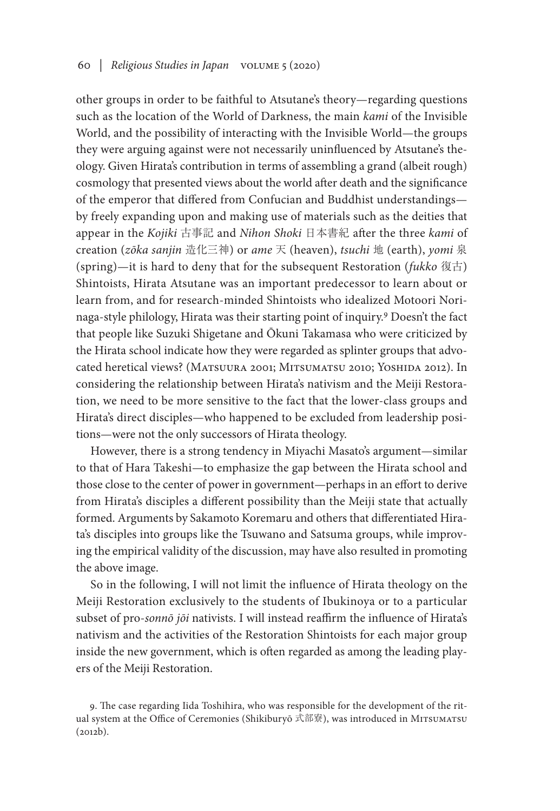other groups in order to be faithful to Atsutane's theory—regarding questions such as the location of the World of Darkness, the main *kami* of the Invisible World, and the possibility of interacting with the Invisible World—the groups they were arguing against were not necessarily uninfluenced by Atsutane's theology. Given Hirata's contribution in terms of assembling a grand (albeit rough) cosmology that presented views about the world after death and the significance of the emperor that differed from Confucian and Buddhist understandings by freely expanding upon and making use of materials such as the deities that appear in the *Kojiki* 古事記 and *Nihon Shoki* 日本書紀 after the three *kami* of creation (*zōka sanjin* 造化三神) or *ame* 天 (heaven), *tsuchi* 地 (earth), *yomi* 泉 (spring)—it is hard to deny that for the subsequent Restoration (*fukko* 復古) Shintoists, Hirata Atsutane was an important predecessor to learn about or learn from, and for research-minded Shintoists who idealized Motoori Norinaga-style philology, Hirata was their starting point of inquiry.9 Doesn't the fact that people like Suzuki Shigetane and Ōkuni Takamasa who were criticized by the Hirata school indicate how they were regarded as splinter groups that advocated heretical views? (Matsuura 2001; Mitsumatsu 2010; Yoshida 2012). In considering the relationship between Hirata's nativism and the Meiji Restoration, we need to be more sensitive to the fact that the lower-class groups and Hirata's direct disciples—who happened to be excluded from leadership positions—were not the only successors of Hirata theology.

However, there is a strong tendency in Miyachi Masato's argument—similar to that of Hara Takeshi—to emphasize the gap between the Hirata school and those close to the center of power in government—perhaps in an effort to derive from Hirata's disciples a different possibility than the Meiji state that actually formed. Arguments by Sakamoto Koremaru and others that differentiated Hirata's disciples into groups like the Tsuwano and Satsuma groups, while improving the empirical validity of the discussion, may have also resulted in promoting the above image.

So in the following, I will not limit the influence of Hirata theology on the Meiji Restoration exclusively to the students of Ibukinoya or to a particular subset of pro-*sonnō jōi* nativists. I will instead reaffirm the influence of Hirata's nativism and the activities of the Restoration Shintoists for each major group inside the new government, which is often regarded as among the leading players of the Meiji Restoration.

9. The case regarding Iida Toshihira, who was responsible for the development of the ritual system at the Office of Ceremonies (Shikiburyō 式部寮), was introduced in Mitsumatsu (2012b).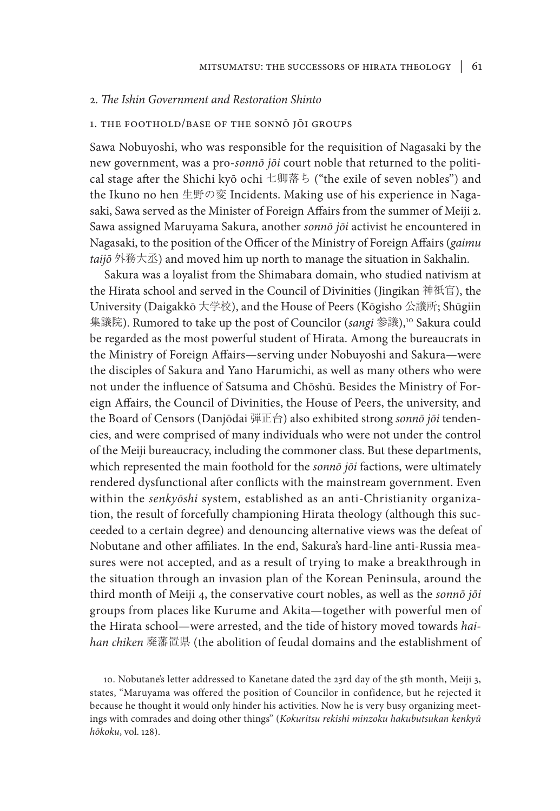# 2. *The Ishin Government and Restoration Shinto*

### 1. the foothold/base of the sonnō jōi groups

Sawa Nobuyoshi, who was responsible for the requisition of Nagasaki by the new government, was a pro-*sonnō jōi* court noble that returned to the political stage after the Shichi kyō ochi 七卿落ち ("the exile of seven nobles") and the Ikuno no hen 生野の変 Incidents. Making use of his experience in Nagasaki, Sawa served as the Minister of Foreign Affairs from the summer of Meiji 2. Sawa assigned Maruyama Sakura, another *sonnō jōi* activist he encountered in Nagasaki, to the position of the Officer of the Ministry of Foreign Affairs (*gaimu taijō* 外務大丞) and moved him up north to manage the situation in Sakhalin.

Sakura was a loyalist from the Shimabara domain, who studied nativism at the Hirata school and served in the Council of Divinities (Jingikan 神祇官), the University (Daigakkō 大学校), and the House of Peers (Kōgisho 公議所; Shūgiin 集議院). Rumored to take up the post of Councilor (*sangi* 参議),<sup>10</sup> Sakura could be regarded as the most powerful student of Hirata. Among the bureaucrats in the Ministry of Foreign Affairs—serving under Nobuyoshi and Sakura—were the disciples of Sakura and Yano Harumichi, as well as many others who were not under the influence of Satsuma and Chōshū. Besides the Ministry of Foreign Affairs, the Council of Divinities, the House of Peers, the university, and the Board of Censors (Danjōdai 弾正台) also exhibited strong *sonnō jōi* tendencies, and were comprised of many individuals who were not under the control of the Meiji bureaucracy, including the commoner class. But these departments, which represented the main foothold for the *sonnō jōi* factions, were ultimately rendered dysfunctional after conflicts with the mainstream government. Even within the *senkyōshi* system, established as an anti-Christianity organization, the result of forcefully championing Hirata theology (although this succeeded to a certain degree) and denouncing alternative views was the defeat of Nobutane and other affiliates. In the end, Sakura's hard-line anti-Russia measures were not accepted, and as a result of trying to make a breakthrough in the situation through an invasion plan of the Korean Peninsula, around the third month of Meiji 4, the conservative court nobles, as well as the *sonnō jōi* groups from places like Kurume and Akita—together with powerful men of the Hirata school—were arrested, and the tide of history moved towards *haihan chiken* 廃藩置県 (the abolition of feudal domains and the establishment of

10. Nobutane's letter addressed to Kanetane dated the 23rd day of the 5th month, Meiji 3, states, "Maruyama was offered the position of Councilor in confidence, but he rejected it because he thought it would only hinder his activities. Now he is very busy organizing meetings with comrades and doing other things" (*Kokuritsu rekishi minzoku hakubutsukan kenkyū hōkoku*, vol. 128).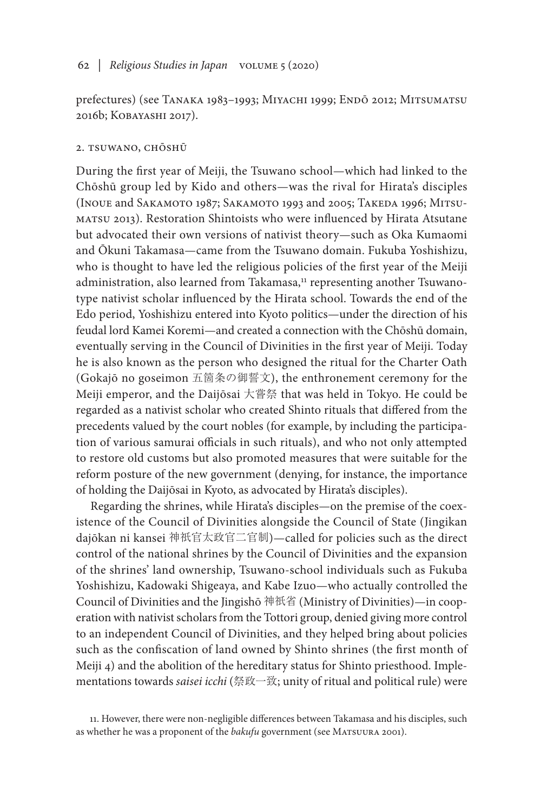prefectures) (see Tanaka 1983–1993; Miyachi 1999; Endō 2012; Mitsumatsu 2016b; Kobayashi 2017).

## 2. tsuwano, chōshū

During the first year of Meiji, the Tsuwano school—which had linked to the Chōshū group led by Kido and others—was the rival for Hirata's disciples (Inoue and Sakamoto 1987; Sakamoto 1993 and 2005; Takeda 1996; Mitsumatsu 2013). Restoration Shintoists who were influenced by Hirata Atsutane but advocated their own versions of nativist theory—such as Oka Kumaomi and Ōkuni Takamasa—came from the Tsuwano domain. Fukuba Yoshishizu, who is thought to have led the religious policies of the first year of the Meiji administration, also learned from Takamasa,<sup>11</sup> representing another Tsuwanotype nativist scholar influenced by the Hirata school. Towards the end of the Edo period, Yoshishizu entered into Kyoto politics—under the direction of his feudal lord Kamei Koremi—and created a connection with the Chōshū domain, eventually serving in the Council of Divinities in the first year of Meiji. Today he is also known as the person who designed the ritual for the Charter Oath (Gokajō no goseimon 五箇条の御誓文), the enthronement ceremony for the Meiji emperor, and the Daijōsai 大嘗祭 that was held in Tokyo. He could be regarded as a nativist scholar who created Shinto rituals that differed from the precedents valued by the court nobles (for example, by including the participation of various samurai officials in such rituals), and who not only attempted to restore old customs but also promoted measures that were suitable for the reform posture of the new government (denying, for instance, the importance of holding the Daijōsai in Kyoto, as advocated by Hirata's disciples).

Regarding the shrines, while Hirata's disciples—on the premise of the coexistence of the Council of Divinities alongside the Council of State (Jingikan dajōkan ni kansei 神祇官太政官二官制)—called for policies such as the direct control of the national shrines by the Council of Divinities and the expansion of the shrines' land ownership, Tsuwano-school individuals such as Fukuba Yoshishizu, Kadowaki Shigeaya, and Kabe Izuo—who actually controlled the Council of Divinities and the Jingishō 神祇省 (Ministry of Divinities)—in cooperation with nativist scholars from the Tottori group, denied giving more control to an independent Council of Divinities, and they helped bring about policies such as the confiscation of land owned by Shinto shrines (the first month of Meiji 4) and the abolition of the hereditary status for Shinto priesthood. Implementations towards *saisei icchi* (祭政一致; unity of ritual and political rule) were

<sup>11.</sup> However, there were non-negligible differences between Takamasa and his disciples, such as whether he was a proponent of the *bakufu* government (see MATSUURA 2001).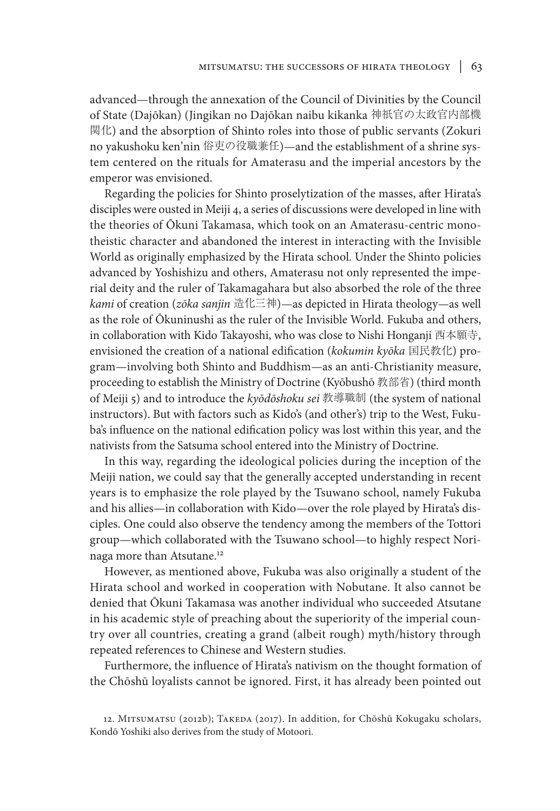advanced—through the annexation of the Council of Divinities by the Council of State (Dajōkan) (Jingikan no Dajōkan naibu kikanka 神祇官の太政官内部機 関化) and the absorption of Shinto roles into those of public servants (Zokuri no yakushoku ken'nin 俗吏の役職兼任)—and the establishment of a shrine system centered on the rituals for Amaterasu and the imperial ancestors by the emperor was envisioned.

Regarding the policies for Shinto proselytization of the masses, after Hirata's disciples were ousted in Meiji 4, a series of discussions were developed in line with the theories of Ōkuni Takamasa, which took on an Amaterasu-centric monotheistic character and abandoned the interest in interacting with the Invisible World as originally emphasized by the Hirata school. Under the Shinto policies advanced by Yoshishizu and others, Amaterasu not only represented the imperial deity and the ruler of Takamagahara but also absorbed the role of the three *kami* of creation (*zōka sanjin* 造化三神)—as depicted in Hirata theology—as well as the role of Ōkuninushi as the ruler of the Invisible World. Fukuba and others, in collaboration with Kido Takayoshi, who was close to Nishi Honganji 西本願寺, envisioned the creation of a national edification (*kokumin kyōka* 国民教化) program—involving both Shinto and Buddhism—as an anti-Christianity measure, proceeding to establish the Ministry of Doctrine (Kyōbushō 教部省) (third month of Meiji 5) and to introduce the *kyōdōshoku sei* 教導職制 (the system of national instructors). But with factors such as Kido's (and other's) trip to the West, Fukuba's influence on the national edification policy was lost within this year, and the nativists from the Satsuma school entered into the Ministry of Doctrine.

In this way, regarding the ideological policies during the inception of the Meiji nation, we could say that the generally accepted understanding in recent years is to emphasize the role played by the Tsuwano school, namely Fukuba and his allies—in collaboration with Kido—over the role played by Hirata's disciples. One could also observe the tendency among the members of the Tottori group—which collaborated with the Tsuwano school—to highly respect Norinaga more than Atsutane.12

However, as mentioned above, Fukuba was also originally a student of the Hirata school and worked in cooperation with Nobutane. It also cannot be denied that Ōkuni Takamasa was another individual who succeeded Atsutane in his academic style of preaching about the superiority of the imperial country over all countries, creating a grand (albeit rough) myth/history through repeated references to Chinese and Western studies.

Furthermore, the influence of Hirata's nativism on the thought formation of the Chōshū loyalists cannot be ignored. First, it has already been pointed out

<sup>12.</sup> MITSUMATSU (2012b); TAKEDA (2017). In addition, for Chōshū Kokugaku scholars, Kondō Yoshiki also derives from the study of Motoori.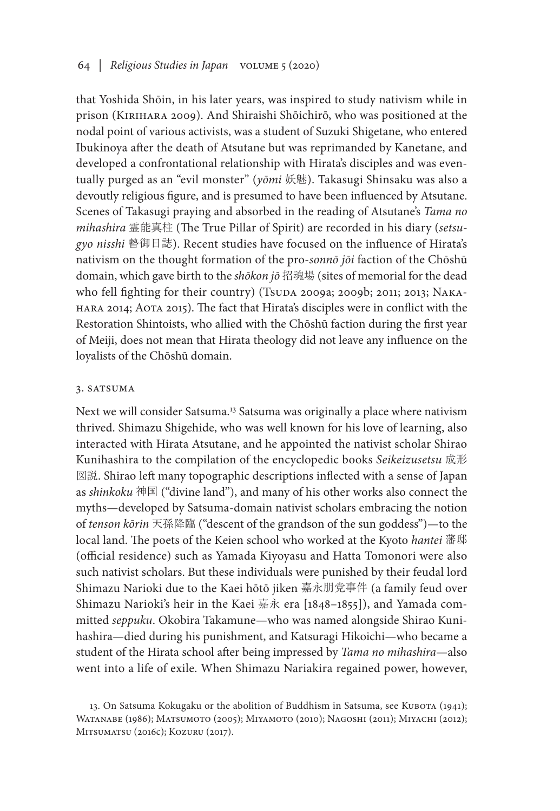that Yoshida Shōin, in his later years, was inspired to study nativism while in prison (Kirihara 2009). And Shiraishi Shōichirō, who was positioned at the nodal point of various activists, was a student of Suzuki Shigetane, who entered Ibukinoya after the death of Atsutane but was reprimanded by Kanetane, and developed a confrontational relationship with Hirata's disciples and was eventually purged as an "evil monster" (*yōmi* 妖魅). Takasugi Shinsaku was also a devoutly religious figure, and is presumed to have been influenced by Atsutane. Scenes of Takasugi praying and absorbed in the reading of Atsutane's *Tama no mihashira* 霊能真柱 (The True Pillar of Spirit) are recorded in his diary (*setsugyo nisshi* 暬御日誌). Recent studies have focused on the influence of Hirata's nativism on the thought formation of the pro-*sonnō jōi* faction of the Chōshū domain, which gave birth to the *shōkon jō* 招魂場 (sites of memorial for the dead who fell fighting for their country) (Tsuda 2009a; 2009b; 2011; 2013; NAKAhara 2014; Aota 2015). The fact that Hirata's disciples were in conflict with the Restoration Shintoists, who allied with the Chōshū faction during the first year of Meiji, does not mean that Hirata theology did not leave any influence on the loyalists of the Chōshū domain.

## 3. SATSUMA

Next we will consider Satsuma.13 Satsuma was originally a place where nativism thrived. Shimazu Shigehide, who was well known for his love of learning, also interacted with Hirata Atsutane, and he appointed the nativist scholar Shirao Kunihashira to the compilation of the encyclopedic books *Seikeizusetsu* 成形 図説. Shirao left many topographic descriptions inflected with a sense of Japan as *shinkoku* 神国 ("divine land"), and many of his other works also connect the myths—developed by Satsuma-domain nativist scholars embracing the notion of *tenson kōrin* 天孫降臨 ("descent of the grandson of the sun goddess")—to the local land. The poets of the Keien school who worked at the Kyoto *hantei* 藩邸 (official residence) such as Yamada Kiyoyasu and Hatta Tomonori were also such nativist scholars. But these individuals were punished by their feudal lord Shimazu Narioki due to the Kaei hōtō jiken 嘉永朋党事件 (a family feud over Shimazu Narioki's heir in the Kaei 嘉永 era [1848–1855]), and Yamada committed *seppuku*. Okobira Takamune—who was named alongside Shirao Kunihashira—died during his punishment, and Katsuragi Hikoichi—who became a student of the Hirata school after being impressed by *Tama no mihashira*—also went into a life of exile. When Shimazu Nariakira regained power, however,

<sup>13.</sup> On Satsuma Kokugaku or the abolition of Buddhism in Satsuma, see KUBOTA (1941); Watanabe (1986); Matsumoto (2005); Miyamoto (2010); Nagoshi (2011); Miyachi (2012); Mitsumatsu (2016c); Kozuru (2017).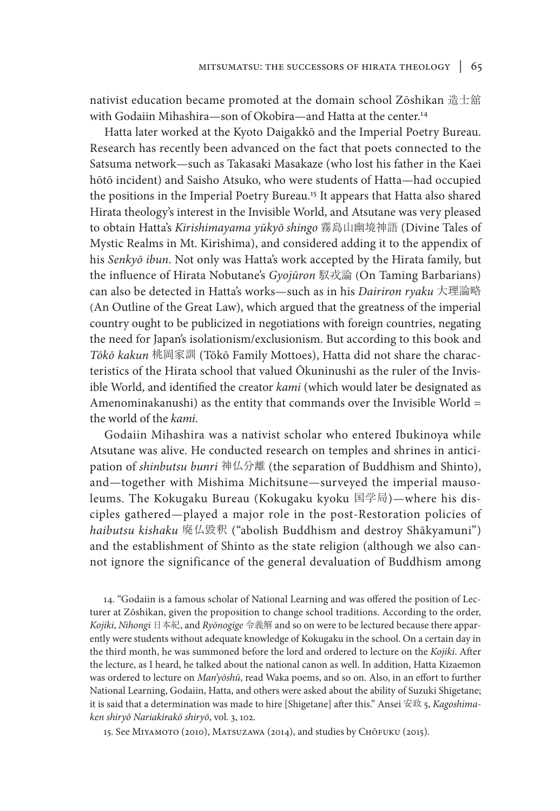nativist education became promoted at the domain school Zōshikan 造士舘 with Godaiin Mihashira—son of Okobira—and Hatta at the center.14

Hatta later worked at the Kyoto Daigakkō and the Imperial Poetry Bureau. Research has recently been advanced on the fact that poets connected to the Satsuma network—such as Takasaki Masakaze (who lost his father in the Kaei hōtō incident) and Saisho Atsuko, who were students of Hatta—had occupied the positions in the Imperial Poetry Bureau.15 It appears that Hatta also shared Hirata theology's interest in the Invisible World, and Atsutane was very pleased to obtain Hatta's *Kirishimayama yūkyō shingo* 霧島山幽境神語 (Divine Tales of Mystic Realms in Mt. Kirishima), and considered adding it to the appendix of his *Senkyō ibun*. Not only was Hatta's work accepted by the Hirata family, but the influence of Hirata Nobutane's *Gyojūron* 馭戎論 (On Taming Barbarians) can also be detected in Hatta's works—such as in his *Dairiron ryaku* 大理論略 (An Outline of the Great Law), which argued that the greatness of the imperial country ought to be publicized in negotiations with foreign countries, negating the need for Japan's isolationism/exclusionism. But according to this book and *Tōkō kakun* 桃岡家訓 (Tōkō Family Mottoes), Hatta did not share the characteristics of the Hirata school that valued Ōkuninushi as the ruler of the Invisible World, and identified the creator *kami* (which would later be designated as Amenominakanushi) as the entity that commands over the Invisible World = the world of the *kami*.

Godaiin Mihashira was a nativist scholar who entered Ibukinoya while Atsutane was alive. He conducted research on temples and shrines in anticipation of *shinbutsu bunri* 神仏分離 (the separation of Buddhism and Shinto), and—together with Mishima Michitsune—surveyed the imperial mausoleums. The Kokugaku Bureau (Kokugaku kyoku 国学局)—where his disciples gathered—played a major role in the post-Restoration policies of *haibutsu kishaku* 廃仏毀釈 ("abolish Buddhism and destroy Shākyamuni") and the establishment of Shinto as the state religion (although we also cannot ignore the significance of the general devaluation of Buddhism among

14. "Godaiin is a famous scholar of National Learning and was offered the position of Lecturer at Zōshikan, given the proposition to change school traditions. According to the order, *Kojiki*, *Nihongi* 日本紀, and *Ryōnogige* 令義解 and so on were to be lectured because there apparently were students without adequate knowledge of Kokugaku in the school. On a certain day in the third month, he was summoned before the lord and ordered to lecture on the *Kojiki*. After the lecture, as I heard, he talked about the national canon as well. In addition, Hatta Kizaemon was ordered to lecture on *Man'yōshū*, read Waka poems, and so on. Also, in an effort to further National Learning, Godaiin, Hatta, and others were asked about the ability of Suzuki Shigetane; it is said that a determination was made to hire [Shigetane] after this." Ansei 安政 5, *Kagoshimaken shiryō Nariakirakō shiryō*, vol. 3, 102.

15. See Miyamoto (2010), Matsuzawa (2014), and studies by Chōfuku (2015).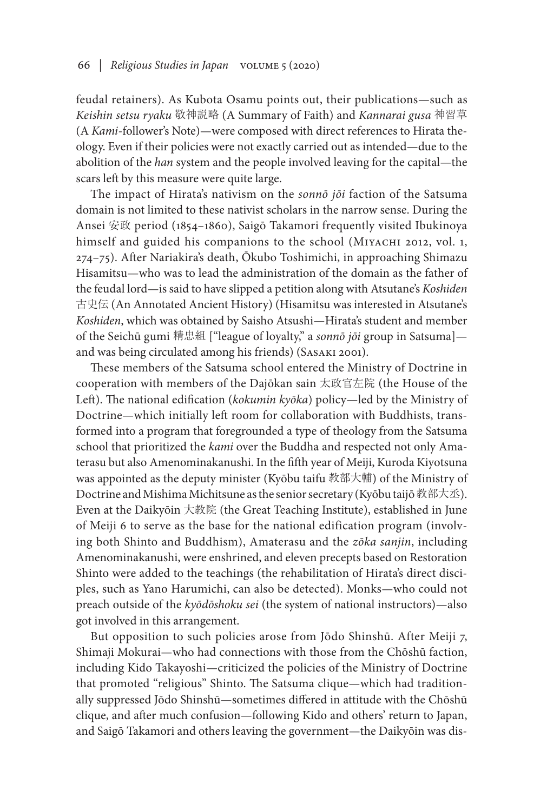feudal retainers). As Kubota Osamu points out, their publications—such as *Keishin setsu ryaku* 敬神説略 (A Summary of Faith) and *Kannarai gusa* 神習草 (A *Kami*-follower's Note)—were composed with direct references to Hirata theology. Even if their policies were not exactly carried out as intended—due to the abolition of the *han* system and the people involved leaving for the capital—the scars left by this measure were quite large.

The impact of Hirata's nativism on the *sonnō jōi* faction of the Satsuma domain is not limited to these nativist scholars in the narrow sense. During the Ansei 安政 period (1854–1860), Saigō Takamori frequently visited Ibukinoya himself and guided his companions to the school (MIYACHI 2012, vol. 1, 274–75). After Nariakira's death, Ōkubo Toshimichi, in approaching Shimazu Hisamitsu—who was to lead the administration of the domain as the father of the feudal lord—is said to have slipped a petition along with Atsutane's *Koshiden* 古史伝 (An Annotated Ancient History) (Hisamitsu was interested in Atsutane's *Koshiden*, which was obtained by Saisho Atsushi—Hirata's student and member of the Seichū gumi 精忠組 ["league of loyalty," a *sonnō jōi* group in Satsuma] and was being circulated among his friends) (Sasaki 2001).

These members of the Satsuma school entered the Ministry of Doctrine in cooperation with members of the Dajōkan sain 太政官左院 (the House of the Left). The national edification (*kokumin kyōka*) policy—led by the Ministry of Doctrine—which initially left room for collaboration with Buddhists, transformed into a program that foregrounded a type of theology from the Satsuma school that prioritized the *kami* over the Buddha and respected not only Amaterasu but also Amenominakanushi. In the fifth year of Meiji, Kuroda Kiyotsuna was appointed as the deputy minister (Kyōbu taifu 教部大輔) of the Ministry of Doctrine and Mishima Michitsune as the senior secretary (Kyōbu taijō教部大丞). Even at the Daikyōin 大教院 (the Great Teaching Institute), established in June of Meiji 6 to serve as the base for the national edification program (involving both Shinto and Buddhism), Amaterasu and the *zōka sanjin*, including Amenominakanushi, were enshrined, and eleven precepts based on Restoration Shinto were added to the teachings (the rehabilitation of Hirata's direct disciples, such as Yano Harumichi, can also be detected). Monks—who could not preach outside of the *kyōdōshoku sei* (the system of national instructors)—also got involved in this arrangement.

But opposition to such policies arose from Jōdo Shinshū. After Meiji 7, Shimaji Mokurai—who had connections with those from the Chōshū faction, including Kido Takayoshi—criticized the policies of the Ministry of Doctrine that promoted "religious" Shinto. The Satsuma clique—which had traditionally suppressed Jōdo Shinshū—sometimes differed in attitude with the Chōshū clique, and after much confusion—following Kido and others' return to Japan, and Saigō Takamori and others leaving the government—the Daikyōin was dis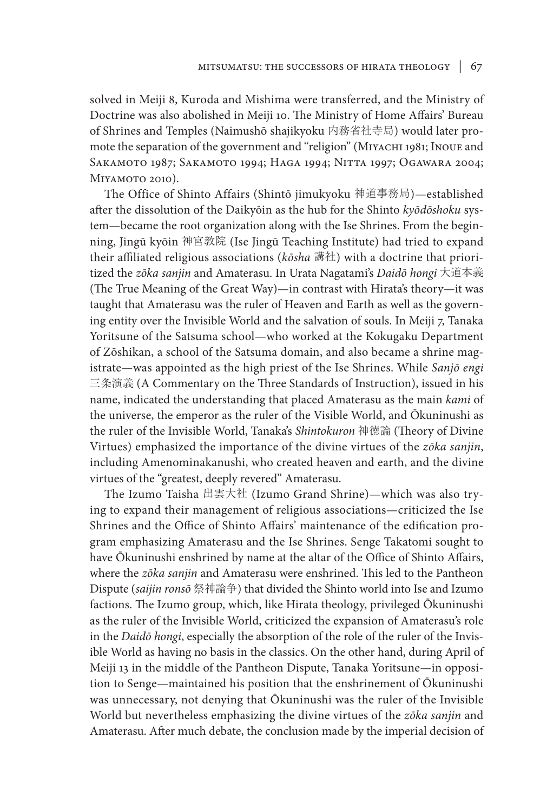solved in Meiji 8, Kuroda and Mishima were transferred, and the Ministry of Doctrine was also abolished in Meiji 10. The Ministry of Home Affairs' Bureau of Shrines and Temples (Naimushō shajikyoku 内務省社寺局) would later promote the separation of the government and "religion" (Miyachi 1981; Inoue and Sakamoto 1987; Sakamoto 1994; Haga 1994; Nitta 1997; Ogawara 2004; Miyamoto 2010).

The Office of Shinto Affairs (Shintō jimukyoku 神道事務局)—established after the dissolution of the Daikyōin as the hub for the Shinto *kyōdōshoku* system—became the root organization along with the Ise Shrines. From the beginning, Jingū kyōin 神宮教院 (Ise Jingū Teaching Institute) had tried to expand their affiliated religious associations (*kōsha* 講社) with a doctrine that prioritized the *zōka sanjin* and Amaterasu. In Urata Nagatami's *Daidō hongi* 大道本義 (The True Meaning of the Great Way)—in contrast with Hirata's theory—it was taught that Amaterasu was the ruler of Heaven and Earth as well as the governing entity over the Invisible World and the salvation of souls. In Meiji 7, Tanaka Yoritsune of the Satsuma school—who worked at the Kokugaku Department of Zōshikan, a school of the Satsuma domain, and also became a shrine magistrate—was appointed as the high priest of the Ise Shrines. While *Sanjō engi* 三条演義 (A Commentary on the Three Standards of Instruction), issued in his name, indicated the understanding that placed Amaterasu as the main *kami* of the universe, the emperor as the ruler of the Visible World, and Ōkuninushi as the ruler of the Invisible World, Tanaka's *Shintokuron* 神徳論 (Theory of Divine Virtues) emphasized the importance of the divine virtues of the *zōka sanjin*, including Amenominakanushi, who created heaven and earth, and the divine virtues of the "greatest, deeply revered" Amaterasu.

The Izumo Taisha 出雲大社 (Izumo Grand Shrine)—which was also trying to expand their management of religious associations—criticized the Ise Shrines and the Office of Shinto Affairs' maintenance of the edification program emphasizing Amaterasu and the Ise Shrines. Senge Takatomi sought to have Ōkuninushi enshrined by name at the altar of the Office of Shinto Affairs, where the *zōka sanjin* and Amaterasu were enshrined. This led to the Pantheon Dispute (*saijin ronsō* 祭神論争) that divided the Shinto world into Ise and Izumo factions. The Izumo group, which, like Hirata theology, privileged Ōkuninushi as the ruler of the Invisible World, criticized the expansion of Amaterasu's role in the *Daidō hongi*, especially the absorption of the role of the ruler of the Invisible World as having no basis in the classics. On the other hand, during April of Meiji 13 in the middle of the Pantheon Dispute, Tanaka Yoritsune—in opposition to Senge—maintained his position that the enshrinement of Ōkuninushi was unnecessary, not denying that Ōkuninushi was the ruler of the Invisible World but nevertheless emphasizing the divine virtues of the *zōka sanjin* and Amaterasu. After much debate, the conclusion made by the imperial decision of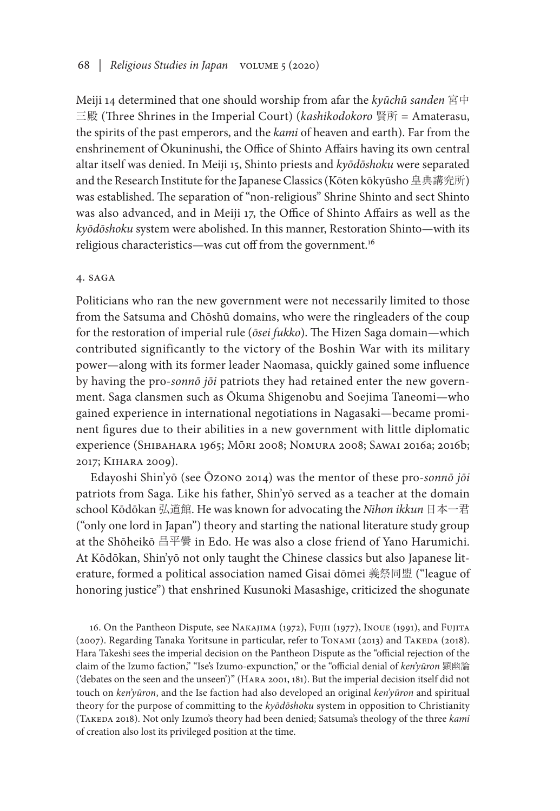## 68 *| Religious Studies in Japan* volume 5 (2020)

Meiji 14 determined that one should worship from afar the *kyūchū sanden* 宮中 三殿 (Three Shrines in the Imperial Court) (*kashikodokoro* 賢所 = Amaterasu, the spirits of the past emperors, and the *kami* of heaven and earth). Far from the enshrinement of Ōkuninushi, the Office of Shinto Affairs having its own central altar itself was denied. In Meiji 15, Shinto priests and *kyōdōshoku* were separated and the Research Institute for the Japanese Classics (Kōten kōkyūsho 皇典講究所) was established. The separation of "non-religious" Shrine Shinto and sect Shinto was also advanced, and in Meiji 17, the Office of Shinto Affairs as well as the *kyōdōshoku* system were abolished. In this manner, Restoration Shinto—with its religious characteristics—was cut off from the government.16

#### 4. saga

Politicians who ran the new government were not necessarily limited to those from the Satsuma and Chōshū domains, who were the ringleaders of the coup for the restoration of imperial rule (*ōsei fukko*). The Hizen Saga domain—which contributed significantly to the victory of the Boshin War with its military power—along with its former leader Naomasa, quickly gained some influence by having the pro-*sonnō jōi* patriots they had retained enter the new government. Saga clansmen such as Ōkuma Shigenobu and Soejima Taneomi—who gained experience in international negotiations in Nagasaki—became prominent figures due to their abilities in a new government with little diplomatic experience (Shibahara 1965; Mōri 2008; Nomura 2008; Sawai 2016a; 2016b; 2017; Kihara 2009).

Edayoshi Shin'yō (see Ōzono 2014) was the mentor of these pro-*sonnō jōi* patriots from Saga. Like his father, Shin'yō served as a teacher at the domain school Kōdōkan 弘道館. He was known for advocating the *Nihon ikkun* 日本一君 ("only one lord in Japan") theory and starting the national literature study group at the Shōheikō 昌平黌 in Edo. He was also a close friend of Yano Harumichi. At Kōdōkan, Shin'yō not only taught the Chinese classics but also Japanese literature, formed a political association named Gisai dōmei 義祭同盟 ("league of honoring justice") that enshrined Kusunoki Masashige, criticized the shogunate

16. On the Pantheon Dispute, see Nakajima (1972), Fujii (1977), Inoue (1991), and Fujita (2007). Regarding Tanaka Yoritsune in particular, refer to TonAMI (2013) and TAKEDA (2018). Hara Takeshi sees the imperial decision on the Pantheon Dispute as the "official rejection of the claim of the Izumo faction," "Ise's Izumo-expunction," or the "official denial of *ken'yūron* 顕幽論 ('debates on the seen and the unseen')" (Hara 2001, 181). But the imperial decision itself did not touch on *ken'yūron*, and the Ise faction had also developed an original *ken'yūron* and spiritual theory for the purpose of committing to the *kyōdōshoku* system in opposition to Christianity (Takeda 2018). Not only Izumo's theory had been denied; Satsuma's theology of the three *kami* of creation also lost its privileged position at the time.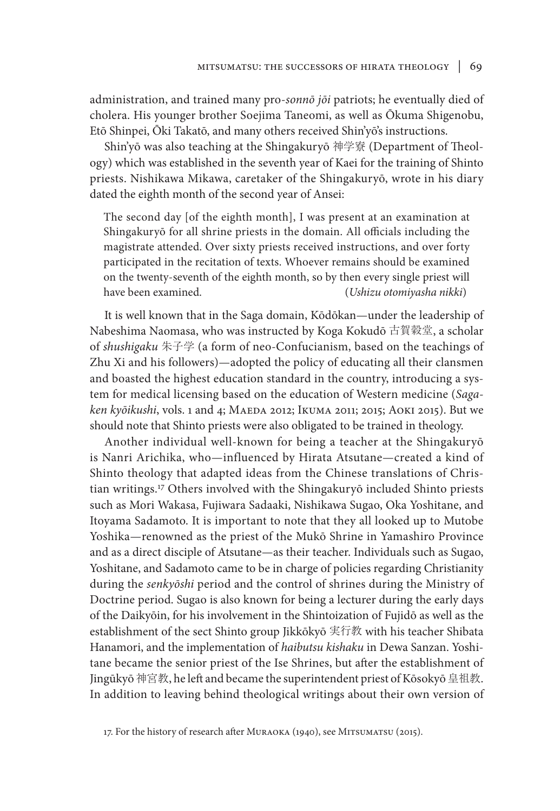administration, and trained many pro-*sonnō jōi* patriots; he eventually died of cholera. His younger brother Soejima Taneomi, as well as Ōkuma Shigenobu, Etō Shinpei, Ōki Takatō, and many others received Shin'yō's instructions.

Shin'yō was also teaching at the Shingakuryō 神学寮 (Department of Theology) which was established in the seventh year of Kaei for the training of Shinto priests. Nishikawa Mikawa, caretaker of the Shingakuryō, wrote in his diary dated the eighth month of the second year of Ansei:

The second day [of the eighth month], I was present at an examination at Shingakuryō for all shrine priests in the domain. All officials including the magistrate attended. Over sixty priests received instructions, and over forty participated in the recitation of texts. Whoever remains should be examined on the twenty-seventh of the eighth month, so by then every single priest will have been examined. (*Ushizu otomiyasha nikki*)

It is well known that in the Saga domain, Kōdōkan—under the leadership of Nabeshima Naomasa, who was instructed by Koga Kokudō 古賀穀堂, a scholar of *shushigaku* 朱子学 (a form of neo-Confucianism, based on the teachings of Zhu Xi and his followers)—adopted the policy of educating all their clansmen and boasted the highest education standard in the country, introducing a system for medical licensing based on the education of Western medicine (*Sagaken kyōikushi*, vols. 1 and 4; Maeda 2012; Ikuma 2011; 2015; Aoki 2015). But we should note that Shinto priests were also obligated to be trained in theology.

Another individual well-known for being a teacher at the Shingakuryō is Nanri Arichika, who—influenced by Hirata Atsutane—created a kind of Shinto theology that adapted ideas from the Chinese translations of Christian writings.17 Others involved with the Shingakuryō included Shinto priests such as Mori Wakasa, Fujiwara Sadaaki, Nishikawa Sugao, Oka Yoshitane, and Itoyama Sadamoto. It is important to note that they all looked up to Mutobe Yoshika—renowned as the priest of the Mukō Shrine in Yamashiro Province and as a direct disciple of Atsutane—as their teacher. Individuals such as Sugao, Yoshitane, and Sadamoto came to be in charge of policies regarding Christianity during the *senkyōshi* period and the control of shrines during the Ministry of Doctrine period. Sugao is also known for being a lecturer during the early days of the Daikyōin, for his involvement in the Shintoization of Fujidō as well as the establishment of the sect Shinto group Jikkōkyō 実行教 with his teacher Shibata Hanamori, and the implementation of *haibutsu kishaku* in Dewa Sanzan. Yoshitane became the senior priest of the Ise Shrines, but after the establishment of Jingūkyō 神宮教, he left and became the superintendent priest of Kōsokyō 皇祖教. In addition to leaving behind theological writings about their own version of

17. For the history of research after Muraoka (1940), see Mitsumatsu (2015).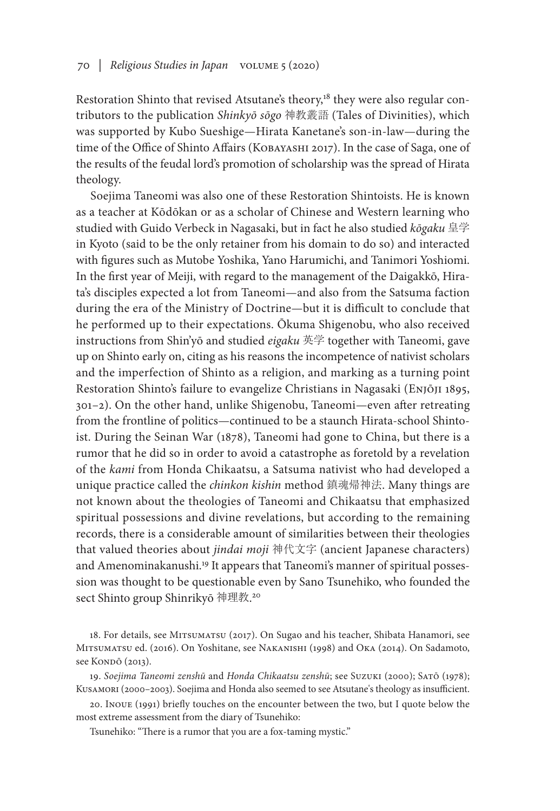Restoration Shinto that revised Atsutane's theory,<sup>18</sup> they were also regular contributors to the publication *Shinkyō sōgo* 神教叢語 (Tales of Divinities), which was supported by Kubo Sueshige—Hirata Kanetane's son-in-law—during the time of the Office of Shinto Affairs (Kobayashi 2017). In the case of Saga, one of the results of the feudal lord's promotion of scholarship was the spread of Hirata theology.

Soejima Taneomi was also one of these Restoration Shintoists. He is known as a teacher at Kōdōkan or as a scholar of Chinese and Western learning who studied with Guido Verbeck in Nagasaki, but in fact he also studied *kōgaku* 皇学 in Kyoto (said to be the only retainer from his domain to do so) and interacted with figures such as Mutobe Yoshika, Yano Harumichi, and Tanimori Yoshiomi. In the first year of Meiji, with regard to the management of the Daigakkō, Hirata's disciples expected a lot from Taneomi—and also from the Satsuma faction during the era of the Ministry of Doctrine—but it is difficult to conclude that he performed up to their expectations. Ōkuma Shigenobu, who also received instructions from Shin'yō and studied *eigaku* 英学 together with Taneomi, gave up on Shinto early on, citing as his reasons the incompetence of nativist scholars and the imperfection of Shinto as a religion, and marking as a turning point Restoration Shinto's failure to evangelize Christians in Nagasaki (Enjōji 1895, 301–2). On the other hand, unlike Shigenobu, Taneomi—even after retreating from the frontline of politics—continued to be a staunch Hirata-school Shintoist. During the Seinan War (1878), Taneomi had gone to China, but there is a rumor that he did so in order to avoid a catastrophe as foretold by a revelation of the *kami* from Honda Chikaatsu, a Satsuma nativist who had developed a unique practice called the *chinkon kishin* method 鎮魂帰神法. Many things are not known about the theologies of Taneomi and Chikaatsu that emphasized spiritual possessions and divine revelations, but according to the remaining records, there is a considerable amount of similarities between their theologies that valued theories about *jindai moji* 神代文字 (ancient Japanese characters) and Amenominakanushi.<sup>19</sup> It appears that Taneomi's manner of spiritual possession was thought to be questionable even by Sano Tsunehiko, who founded the sect Shinto group Shinrikyō 神理教. 20

18. For details, see Mitsumatsu (2017). On Sugao and his teacher, Shibata Hanamori, see Mitsumatsu ed. (2016). On Yoshitane, see Nakanishi (1998) and Oka (2014). On Sadamoto, see Kondō (2013).

19. *Soejima Taneomi zenshū* and *Honda Chikaatsu zenshū*; see Suzuki (2000); Satō (1978); Kusamori (2000–2003). Soejima and Honda also seemed to see Atsutane's theology as insufficient.

20. Inoue (1991) briefly touches on the encounter between the two, but I quote below the most extreme assessment from the diary of Tsunehiko:

Tsunehiko: "There is a rumor that you are a fox-taming mystic."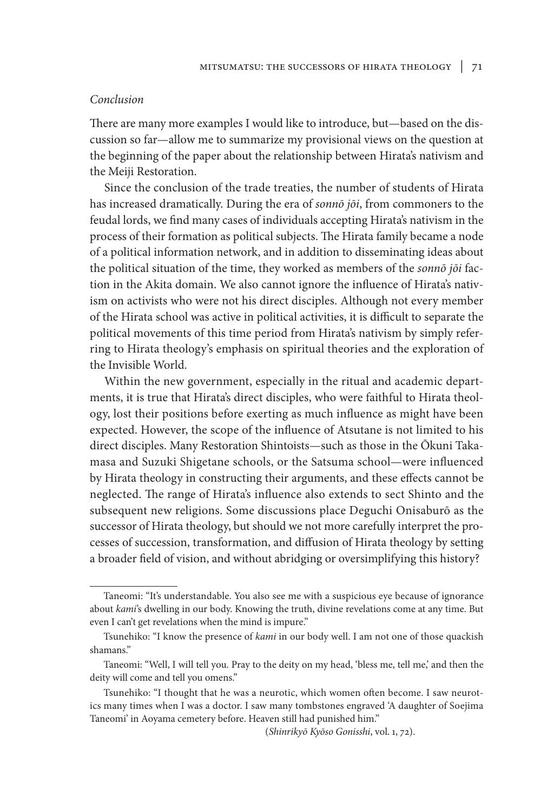# *Conclusion*

There are many more examples I would like to introduce, but—based on the discussion so far—allow me to summarize my provisional views on the question at the beginning of the paper about the relationship between Hirata's nativism and the Meiji Restoration.

Since the conclusion of the trade treaties, the number of students of Hirata has increased dramatically. During the era of *sonnō jōi*, from commoners to the feudal lords, we find many cases of individuals accepting Hirata's nativism in the process of their formation as political subjects. The Hirata family became a node of a political information network, and in addition to disseminating ideas about the political situation of the time, they worked as members of the *sonnō jōi* faction in the Akita domain. We also cannot ignore the influence of Hirata's nativism on activists who were not his direct disciples. Although not every member of the Hirata school was active in political activities, it is difficult to separate the political movements of this time period from Hirata's nativism by simply referring to Hirata theology's emphasis on spiritual theories and the exploration of the Invisible World.

Within the new government, especially in the ritual and academic departments, it is true that Hirata's direct disciples, who were faithful to Hirata theology, lost their positions before exerting as much influence as might have been expected. However, the scope of the influence of Atsutane is not limited to his direct disciples. Many Restoration Shintoists—such as those in the Ōkuni Takamasa and Suzuki Shigetane schools, or the Satsuma school—were influenced by Hirata theology in constructing their arguments, and these effects cannot be neglected. The range of Hirata's influence also extends to sect Shinto and the subsequent new religions. Some discussions place Deguchi Onisaburō as the successor of Hirata theology, but should we not more carefully interpret the processes of succession, transformation, and diffusion of Hirata theology by setting a broader field of vision, and without abridging or oversimplifying this history?

Taneomi: "It's understandable. You also see me with a suspicious eye because of ignorance about *kami*'s dwelling in our body. Knowing the truth, divine revelations come at any time. But even I can't get revelations when the mind is impure."

Tsunehiko: "I know the presence of *kami* in our body well. I am not one of those quackish shamans."

Taneomi: "Well, I will tell you. Pray to the deity on my head, 'bless me, tell me,' and then the deity will come and tell you omens."

Tsunehiko: "I thought that he was a neurotic, which women often become. I saw neurotics many times when I was a doctor. I saw many tombstones engraved 'A daughter of Soejima Taneomi' in Aoyama cemetery before. Heaven still had punished him."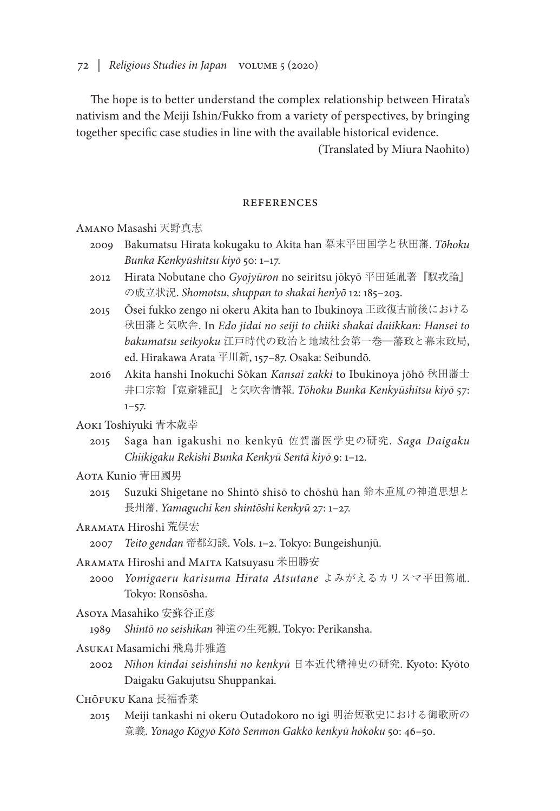72 *| Religious Studies in Japan* volume 5 (2020)

The hope is to better understand the complex relationship between Hirata's nativism and the Meiji Ishin/Fukko from a variety of perspectives, by bringing together specific case studies in line with the available historical evidence.

(Translated by Miura Naohito)

### references

Amano Masashi 天野真志

- 2009 Bakumatsu Hirata kokugaku to Akita han 幕末平田国学と秋田藩. *Tōhoku Bunka Kenkyūshitsu kiyō* 50: 1–17.
- 2012 Hirata Nobutane cho *Gyojyūron* no seiritsu jōkyō 平田延胤著『馭戎論』 の成立状況. *Shomotsu, shuppan to shakai hen'yō* 12: 185–203.
- 2015 Ōsei fukko zengo ni okeru Akita han to Ibukinoya 王政復古前後における 秋田藩と気吹舎. In *Edo jidai no seiji to chiiki shakai daiikkan: Hansei to bakumatsu seikyoku* 江戸時代の政治と地域社会第一巻―藩政と幕末政局, ed. Hirakawa Arata 平川新, 157–87. Osaka: Seibundō.
- 2016 Akita hanshi Inokuchi Sōkan *Kansai zakki* to Ibukinoya jōhō 秋田藩士 井口宗翰『寛斎雑記』と気吹舎情報. *Tōhoku Bunka Kenkyūshitsu kiyō* 57:  $1 - 57.$

## Aoki Toshiyuki 青木歳幸

2015 Saga han igakushi no kenkyū 佐賀藩医学史の研究. *Saga Daigaku Chiikigaku Rekishi Bunka Kenkyū Sentā kiyō* 9: 1–12.

## Aota Kunio 青田國男

2015 Suzuki Shigetane no Shintō shisō to chōshū han 鈴木重胤の神道思想と 長州藩. *Yamaguchi ken shintōshi kenkyū* 27: 1–27.

# Aramata Hiroshi 荒俣宏

2007 *Teito gendan* 帝都幻談. Vols. 1–2. Tokyo: Bungeishunjū.

## Aramata Hiroshi and Maita Katsuyasu 米田勝安

2000 *Yomigaeru karisuma Hirata Atsutane* よみがえるカリスマ平田篤胤. Tokyo: Ronsōsha.

### Asoya Masahiko 安蘇谷正彦

1989 *Shintō no seishikan* 神道の生死観. Tokyo: Perikansha.

### Asukai Masamichi 飛鳥井雅道

- 2002 *Nihon kindai seishinshi no kenkyū* 日本近代精神史の研究. Kyoto: Kyōto Daigaku Gakujutsu Shuppankai.
- Chōfuku Kana 長福香菜
	- 2015 Meiji tankashi ni okeru Outadokoro no igi 明治短歌史における御歌所の 意義. *Yonago Kōgyō Kōtō Senmon Gakkō kenkyū hōkoku* 50: 46–50.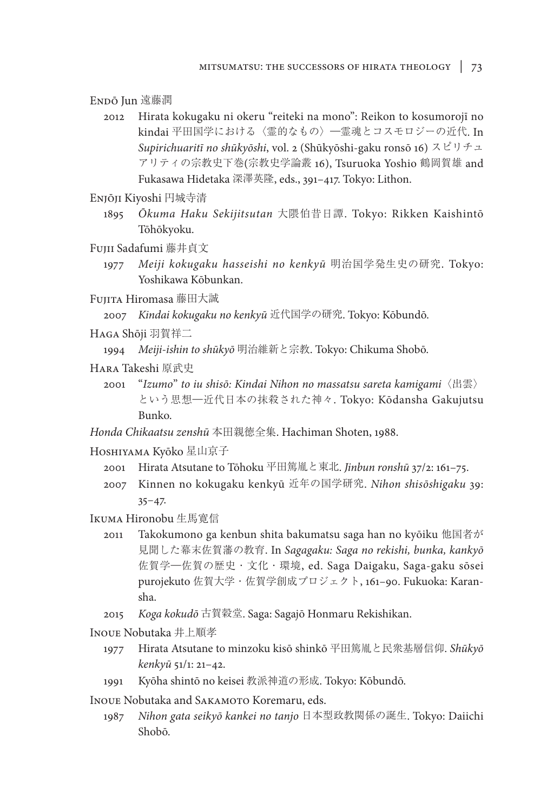Endō Jun 遠藤潤

- 2012 Hirata kokugaku ni okeru "reiteki na mono": Reikon to kosumorojī no kindai 平田国学における〈霊的なもの〉―霊魂とコスモロジーの近代. In *Supirichuaritī no shūkyōshi*, vol. 2 (Shūkyōshi-gaku ronsō 16) スピリチュ アリティの宗教史下巻(宗教史学論叢 16), Tsuruoka Yoshio 鶴岡賀雄 and Fukasawa Hidetaka 深澤英隆, eds., 391–417. Tokyo: Lithon.
- Enjōji Kiyoshi 円城寺清
	- 1895 *Ōkuma Haku Sekijitsutan* 大隈伯昔日譚. Tokyo: Rikken Kaishintō Tōhōkyoku.
- Fujii Sadafumi 藤井貞文
	- 1977 *Meiji kokugaku hasseishi no kenkyū* 明治国学発生史の研究. Tokyo: Yoshikawa Kōbunkan.
- Fujita Hiromasa 藤田大誠

2007 *Kindai kokugaku no kenkyū* 近代国学の研究. Tokyo: Kōbundō.

Haga Shōji 羽賀祥二

1994 *Meiji-ishin to shūkyō* 明治維新と宗教. Tokyo: Chikuma Shobō.

- Hara Takeshi 原武史
	- 2001 "*Izumo*" *to iu shisō: Kindai Nihon no massatsu sareta kamigami*〈出雲〉 という思想―近代日本の抹殺された神々. Tokyo: Kōdansha Gakujutsu Bunko.

*Honda Chikaatsu zenshū* 本田親徳全集. Hachiman Shoten, 1988.

- Hoshiyama Kyōko 星山京子
	- 2001 Hirata Atsutane to Tōhoku 平田篤胤と東北. *Jinbun ronshū* 37/2: 161–75.
	- 2007 Kinnen no kokugaku kenkyū 近年の国学研究. *Nihon shisōshigaku* 39:  $35 - 47.$
- Ikuma Hironobu 生馬寛信
	- 2011 Takokumono ga kenbun shita bakumatsu saga han no kyōiku 他国者が 見聞した幕末佐賀藩の教育. In *Sagagaku: Saga no rekishi, bunka, kankyō* 佐賀学―佐賀の歴史・文化・環境, ed. Saga Daigaku, Saga-gaku sōsei purojekuto 佐賀大学・佐賀学創成プロジェクト, 161–90. Fukuoka: Karansha.
	- 2015 *Koga kokudō* 古賀穀堂. Saga: Sagajō Honmaru Rekishikan.

Inoue Nobutaka 井上順孝

- 1977 Hirata Atsutane to minzoku kisō shinkō 平田篤胤と民衆基層信仰. *Shūkyō kenkyū* 51/1: 21–42.
- 1991 Kyōha shintō no keisei 教派神道の形成. Tokyo: Kōbundō.

INOUE Nobutaka and SAKAMOTO Koremaru, eds.

1987 *Nihon gata seikyō kankei no tanjo* 日本型政教関係の誕生. Tokyo: Daiichi Shobō.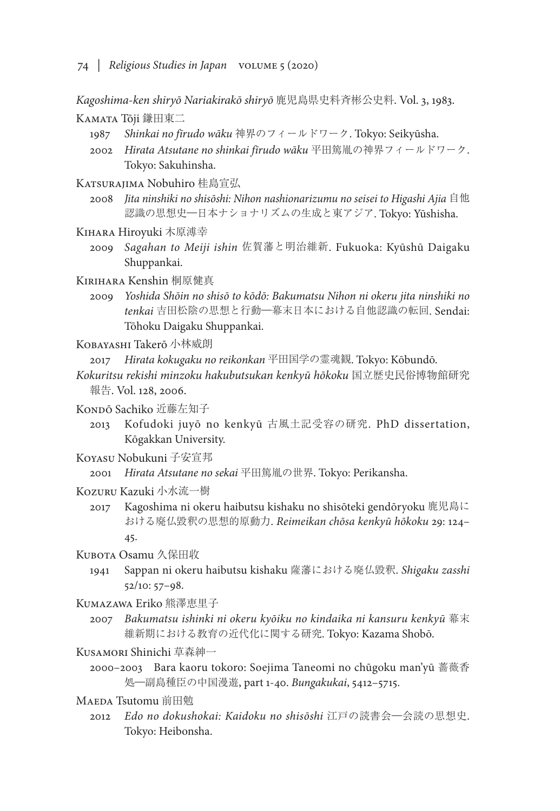74 *| Religious Studies in Japan* volume 5 (2020)

*Kagoshima-ken shiryō Nariakirakō shiryō* 鹿児島県史料斉彬公史料. Vol. 3, 1983.

KAMATA Tōji 鎌田東二

- 1987 *Shinkai no fīrudo wāku* 神界のフィールドワーク. Tokyo: Seikyūsha.
- 2002 *Hirata Atsutane no shinkai fīrudo wāku* 平田篤胤の神界フィールドワーク. Tokyo: Sakuhinsha.
- KATSURAJIMA Nobuhiro 桂島宣弘
	- 2008 *Jita ninshiki no shisōshi: Nihon nashionarizumu no seisei to Higashi Ajia* 自他 認識の思想史―日本ナショナリズムの生成と東アジア. Tokyo: Yūshisha.
- Kihara Hiroyuki 木原溥幸
	- 2009 *Sagahan to Meiji ishin* 佐賀藩と明治維新. Fukuoka: Kyūshū Daigaku Shuppankai.
- Kirihara Kenshin 桐原健真
	- 2009 *Yoshida Shōin no shisō to kōdō: Bakumatsu Nihon ni okeru jita ninshiki no tenkai* 吉田松陰の思想と行動―幕末日本における自他認識の転回. Sendai: Tōhoku Daigaku Shuppankai.

Kobayashi Takerō 小林威朗

2017 *Hirata kokugaku no reikonkan* 平田国学の霊魂観. Tokyo: Kōbundō.

- *Kokuritsu rekishi minzoku hakubutsukan kenkyū hōkoku* 国立歴史民俗博物館研究 報告. Vol. 128, 2006.
- Konpō Sachiko 近藤左知子
	- 2013 Kofudoki juyō no kenkyū 古風土記受容の研究. PhD dissertation, Kōgakkan University.
- Koyasu Nobukuni 子安宣邦
	- 2001 *Hirata Atsutane no sekai* 平田篤胤の世界. Tokyo: Perikansha.
- Kozuru Kazuki 小水流一樹
	- 2017 Kagoshima ni okeru haibutsu kishaku no shisōteki gendōryoku 鹿児島に おける廃仏毀釈の思想的原動力. *Reimeikan chōsa kenkyū hōkoku* 29: 124– 45.

KUBOTA Osamu 久保田收

- 1941 Sappan ni okeru haibutsu kishaku 薩藩における廃仏毀釈. *Shigaku zasshi* 52/10: 57–98.
- Kumazawa Eriko 熊澤恵里子
	- 2007 *Bakumatsu ishinki ni okeru kyōiku no kindaika ni kansuru kenkyū* 幕末 維新期における教育の近代化に関する研究. Tokyo: Kazama Shobō.
- Kusamori Shinichi 草森紳一
	- 2000–2003 Bara kaoru tokoro: Soejima Taneomi no chūgoku man'yū 薔薇香 処―副島種臣の中国漫遊, part 1-40. *Bungakukai*, 5412–5715.
- Maeda Tsutomu 前田勉
	- 2012 *Edo no dokushokai: Kaidoku no shisōshi* 江戸の読書会―会読の思想史. Tokyo: Heibonsha.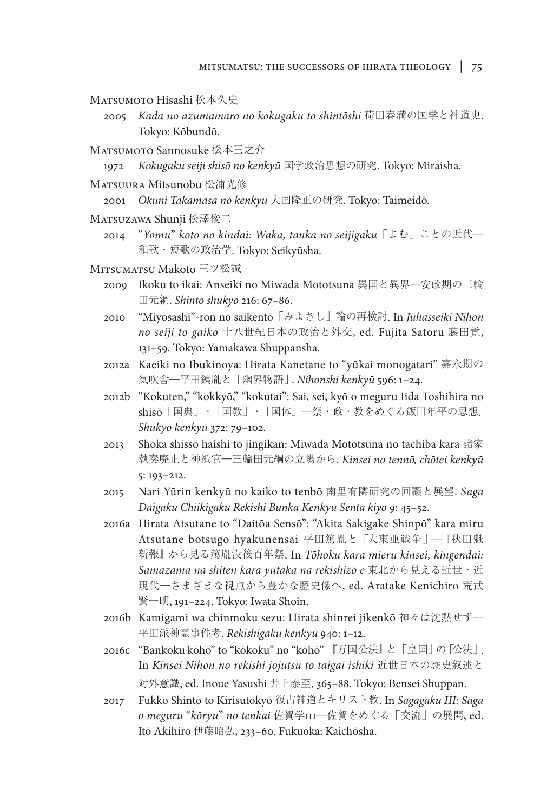- Matsumoto Hisashi 松本久史
	- 2005 *Kada no azumamaro no kokugaku to shintōshi* 荷田春満の国学と神道史. Tokyo: Kōbundō.
- Matsumoto Sannosuke 松本三之介
	- 1972 *Kokugaku seiji shisō no kenkyū* 国学政治思想の研究. Tokyo: Miraisha.
- Matsuura Mitsunobu 松浦光修
	- 2001 *Ōkuni Takamasa no kenkyū* 大国隆正の研究. Tokyo: Taimeidō.
- Matsuzawa Shunji 松澤俊二
	- 2014 "*Yomu*" *koto no kindai: Waka, tanka no seijigaku*「よむ」ことの近代― 和歌・短歌の政治学. Tokyo: Seikyūsha.
- Mitsumatsu Makoto 三ツ松誠
	- 2009 Ikoku to ikai: Anseiki no Miwada Mototsuna 異国と異界―安政期の三輪 田元綱. *Shintō shūkyō* 216: 67–86.
	- 2010 "Miyosashi"-ron no saikentō「みよさし」論の再検討. In *Jūhasseiki Nihon no seiji to gaikō* 十八世紀日本の政治と外交, ed. Fujita Satoru 藤田覚, 131–59. Tokyo: Yamakawa Shuppansha.
	- 2012a Kaeiki no Ibukinoya: Hirata Kanetane to "yūkai monogatari" 嘉永期の 気吹舎―平田銕胤と「幽界物語」. *Nihonshi kenkyū* 596: 1–24.
	- 2012b "Kokuten," "kokkyō," "kokutai": Sai, sei, kyō o meguru Iida Toshihira no shisō「国典」・「国教」・「国体」―祭・政・教をめぐる飯田年平の思想. *Shūkyō kenkyū* 372: 79–102.
	- 2013 Shoka shissō haishi to jingikan: Miwada Mototsuna no tachiba kara 諸家 執奏廃止と神祇官―三輪田元綱の立場から. *Kinsei no tennō, chōtei kenkyū* 5: 193–212.
	- 2015 Nari Yūrin kenkyū no kaiko to tenbō 南里有隣研究の回顧と展望. *Saga Daigaku Chiikigaku Rekishi Bunka Kenkyū Sentā kiyō* 9: 45–52.
	- 2016a Hirata Atsutane to "Daitōa Sensō": "Akita Sakigake Shinpō" kara miru Atsutane botsugo hyakunensai 平田篤胤と「大東亜戦争」―『秋田魁 新報』から見る篤胤没後百年祭. In *Tōhoku kara mieru kinsei, kingendai: Samazama na shiten kara yutaka na rekishizō e* 東北から見える近世・近 現代―さまざまな視点から豊かな歴史像へ, ed. Aratake Kenichiro 荒武 賢一朗, 191–224. Tokyo: Iwata Shoin.
	- 2016b Kamigami wa chinmoku sezu: Hirata shinrei jikenkō 神々は沈黙せず― 平田派神霊事件考. *Rekishigaku kenkyū* 940: 1–12.
	- 2016c "Bankoku kōhō" to "kōkoku" no "kōhō" 『万国公法』と「皇国」の「公法」. In *Kinsei Nihon no rekishi jojutsu to taigai ishiki* 近世日本の歴史叙述と 対外意識, ed. Inoue Yasushi 井上泰至, 365–88. Tokyo: Bensei Shuppan.
	- 2017 Fukko Shintō to Kirisutokyō 復古神道とキリスト教. In *Sagagaku III: Saga o meguru* "*kōryu*" *no tenkai* 佐賀学III―佐賀をめぐる「交流」の展開, ed. Itō Akihiro 伊藤昭弘, 233–60. Fukuoka: Kaichōsha.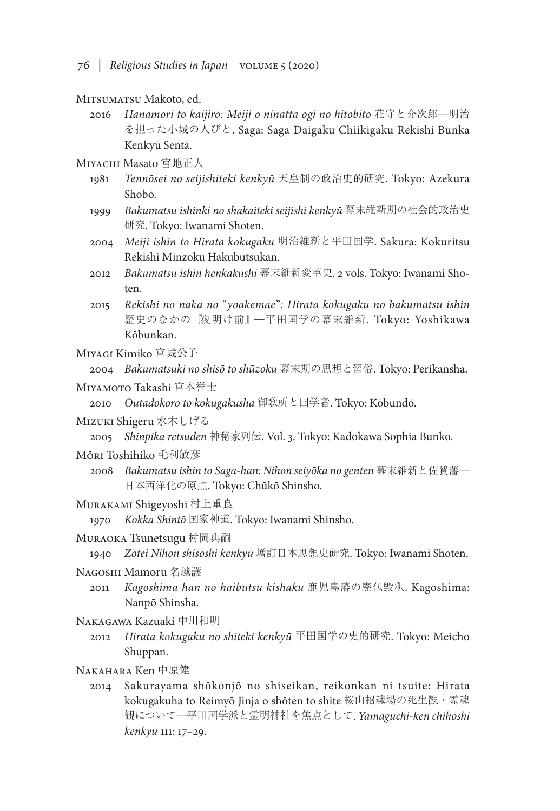- 76 *| Religious Studies in Japan* volume 5 (2020)
- MITSUMATSU Makoto, ed.
	- 2016 *Hanamori to kaijirō: Meiji o ninatta ogi no hitobito* 花守と介次郎―明治 を担った小城の人びと. Saga: Saga Daigaku Chiikigaku Rekishi Bunka Kenkyū Sentā.
- Miyachi Masato 宮地正人
	- 1981 *Tennōsei no seijishiteki kenkyū* 天皇制の政治史的研究. Tokyo: Azekura Shobō.
	- 1999 *Bakumatsu ishinki no shakaiteki seijishi kenkyū* 幕末維新期の社会的政治史 研究. Tokyo: Iwanami Shoten.
	- 2004 *Meiji ishin to Hirata kokugaku* 明治維新と平田国学. Sakura: Kokuritsu Rekishi Minzoku Hakubutsukan.
	- 2012 *Bakumatsu ishin henkakushi* 幕末維新変革史. 2 vols. Tokyo: Iwanami Shoten.
	- 2015 *Rekishi no naka no* "*yoakemae*"*: Hirata kokugaku no bakumatsu ishin* 歴史のなかの『夜明け前』―平田国学の幕末維新. Tokyo: Yoshikawa Kōbunkan.
- Miyagi Kimiko 宮城公子

```
2004 Bakumatsuki no shisō to shūzoku 幕末期の思想と習俗. Tokyo: Perikansha.
```
Miyamoto Takashi 宮本誉士

2010 *Outadokoro to kokugakusha* 御歌所と国学者. Tokyo: Kōbundō.

Mizuki Shigeru 水木しげる

2005 *Shinpika retsuden* 神秘家列伝. Vol. 3. Tokyo: Kadokawa Sophia Bunko.

- Mōri Toshihiko 毛利敏彦
	- 2008 *Bakumatsu ishin to Saga-han: Nihon seiyōka no genten* 幕末維新と佐賀藩― 日本西洋化の原点. Tokyo: Chūkō Shinsho.
- Murakami Shigeyoshi 村上重良

1970 *Kokka Shintō* 国家神道. Tokyo: Iwanami Shinsho.

Muraoka Tsunetsugu 村岡典嗣

1940 *Zōtei Nihon shisōshi kenkyū* 増訂日本思想史研究. Tokyo: Iwanami Shoten.

- Nagoshi Mamoru 名越護
	- 2011 *Kagoshima han no haibutsu kishaku* 鹿児島藩の廃仏毀釈. Kagoshima: Nanpō Shinsha.
- Nakagawa Kazuaki 中川和明
	- 2012 *Hirata kokugaku no shiteki kenkyū* 平田国学の史的研究. Tokyo: Meicho Shuppan.
- Nakahara Ken 中原健
	- 2014 Sakurayama shōkonjō no shiseikan, reikonkan ni tsuite: Hirata kokugakuha to Reimyō Jinja o shōten to shite 桜山招魂場の死生観・霊魂 観について―平田国学派と霊明神社を焦点として. *Yamaguchi-ken chihōshi kenkyū* 111: 17–29.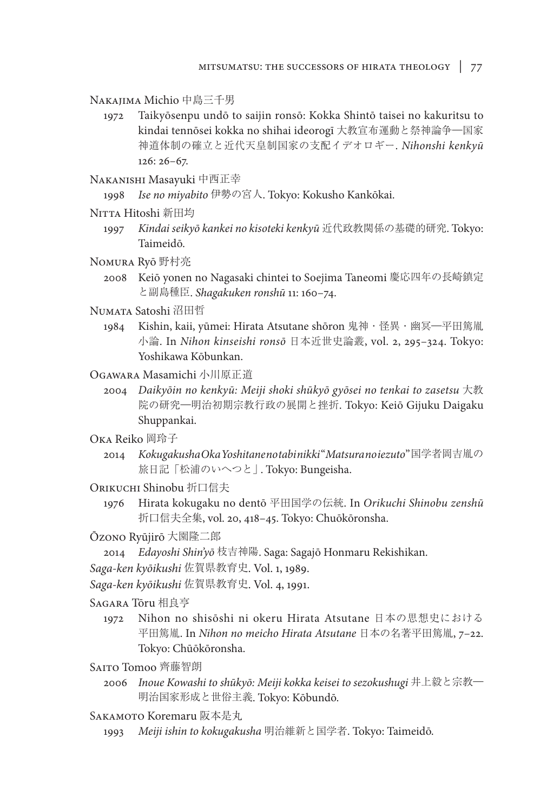Nakajima Michio 中島三千男

- 1972 Taikyōsenpu undō to saijin ronsō: Kokka Shintō taisei no kakuritsu to kindai tennōsei kokka no shihai ideorogī 大教宣布運動と祭神論争―国家 神道体制の確立と近代天皇制国家の支配イデオロギー. *Nihonshi kenkyū* 126: 26–67.
- Nakanishi Masayuki 中西正幸

1998 *Ise no miyabito* 伊勢の宮人. Tokyo: Kokusho Kankōkai.

- Nitta Hitoshi 新田均
	- 1997 *Kindai seikyō kankei no kisoteki kenkyū* 近代政教関係の基礎的研究. Tokyo: Taimeidō.
- Nomura Ryō 野村亮
	- 2008 Keiō yonen no Nagasaki chintei to Soejima Taneomi 慶応四年の長崎鎮定 と副島種臣. *Shagakuken ronshū* 11: 160–74.
- Numata Satoshi 沼田哲
	- 1984 Kishin, kaii, yūmei: Hirata Atsutane shōron 鬼神・怪異・幽冥―平田篤胤 小論. In *Nihon kinseishi ronsō* 日本近世史論叢, vol. 2, 295–324. Tokyo: Yoshikawa Kōbunkan.
- Ogawara Masamichi 小川原正道
	- 2004 *Daikyōin no kenkyū: Meiji shoki shūkyō gyōsei no tenkai to zasetsu* 大教 院の研究―明治初期宗教行政の展開と挫折. Tokyo: Keiō Gijuku Daigaku Shuppankai.
- Oka Reiko 岡玲子
	- 2014 *Kokugakusha Oka Yoshitane no tabi nikki* "*Matsura no iezuto*" 国学者岡吉胤の 旅日記「松浦のいへつと」. Tokyo: Bungeisha.
- Orikuchi Shinobu 折口信夫
	- 1976 Hirata kokugaku no dentō 平田国学の伝統. In *Orikuchi Shinobu zenshū* 折口信夫全集, vol. 20, 418–45. Tokyo: Chuōkōronsha.
- Ōzono Ryūjirō 大園隆二郎
	- 2014 *Edayoshi Shin'yō* 枝吉神陽. Saga: Sagajō Honmaru Rekishikan.
- *Saga-ken kyōikushi* 佐賀県教育史. Vol. 1, 1989.
- *Saga-ken kyōikushi* 佐賀県教育史. Vol. 4, 1991.
- Sagara Tōru 相良亨
	- 1972 Nihon no shisōshi ni okeru Hirata Atsutane 日本の思想史における 平田篤胤. In *Nihon no meicho Hirata Atsutane* 日本の名著平田篤胤, 7–22. Tokyo: Chūōkōronsha.
- SAITO Tomoo 齊藤智朗
	- 2006 *Inoue Kowashi to shūkyō: Meiji kokka keisei to sezokushugi* 井上毅と宗教― 明治国家形成と世俗主義. Tokyo: Kōbundō.
- Sakamoto Koremaru 阪本是丸
	- 1993 *Meiji ishin to kokugakusha* 明治維新と国学者. Tokyo: Taimeidō.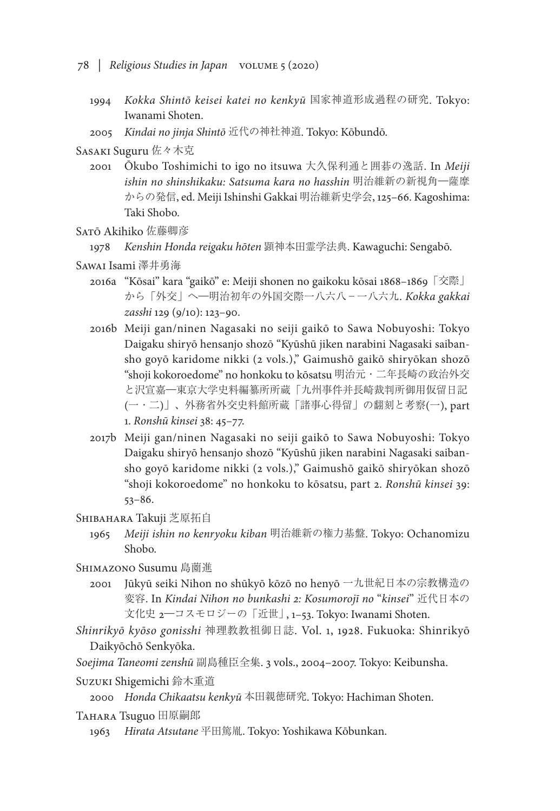- 78 *| Religious Studies in Japan* volume 5 (2020)
	- 1994 *Kokka Shintō keisei katei no kenkyū* 国家神道形成過程の研究. Tokyo: Iwanami Shoten.
	- 2005 *Kindai no jinja Shintō* 近代の神社神道. Tokyo: Kōbundō.
- Sasaki Suguru 佐々木克
	- 2001 Ōkubo Toshimichi to igo no itsuwa 大久保利通と囲碁の逸話. In *Meiji ishin no shinshikaku: Satsuma kara no hasshin* 明治維新の新視角―薩摩 からの発信, ed. Meiji Ishinshi Gakkai 明治維新史学会, 125–66. Kagoshima: Taki Shobo.

Satō Akihiko 佐藤卿彦

1978 *Kenshin Honda reigaku hōten* 顕神本田霊学法典. Kawaguchi: Sengabō.

- Sawai Isami 澤井勇海
	- 2016a "Kōsai" kara "gaikō" e: Meiji shonen no gaikoku kōsai 1868–1869「交際」 から「外交」へ―明治初年の外国交際一八六八-一八六九. *Kokka gakkai zasshi* 129 (9/10): 123–90.
	- 2016b Meiji gan/ninen Nagasaki no seiji gaikō to Sawa Nobuyoshi: Tokyo Daigaku shiryō hensanjo shozō "Kyūshū jiken narabini Nagasaki saibansho goyō karidome nikki (2 vols.)," Gaimushō gaikō shiryōkan shozō "shoji kokoroedome" no honkoku to kōsatsu 明治元・二年長崎の政治外交 と沢宣嘉―東京大学史料編纂所所蔵「九州事件并長崎裁判所御用仮留日記 (一・二)」、外務省外交史料館所蔵「諸事心得留」の翻刻と考察(一), part 1. *Ronshū kinsei* 38: 45–77.
	- 2017b Meiji gan/ninen Nagasaki no seiji gaikō to Sawa Nobuyoshi: Tokyo Daigaku shiryō hensanjo shozō "Kyūshū jiken narabini Nagasaki saibansho goyō karidome nikki (2 vols.)," Gaimushō gaikō shiryōkan shozō "shoji kokoroedome" no honkoku to kōsatsu, part 2. *Ronshū kinsei* 39: 53–86.

Shibahara Takuji 芝原拓自

1965 *Meiji ishin no kenryoku kiban* 明治維新の権力基盤. Tokyo: Ochanomizu Shobo.

Shimazono Susumu 島薗進

- 2001 Jūkyū seiki Nihon no shūkyō kōzō no henyō 一九世紀日本の宗教構造の 変容. In *Kindai Nihon no bunkashi 2: Kosumorojī no* "*kinsei*" 近代日本の 文化史 2―コスモロジーの「近世」, 1–53. Tokyo: Iwanami Shoten.
- *Shinrikyō kyōso gonisshi* 神理教教祖御日誌. Vol. 1, 1928. Fukuoka: Shinrikyō Daikyōchō Senkyōka.
- *Soejima Taneomi zenshū* 副島種臣全集. 3 vols., 2004–2007. Tokyo: Keibunsha.

Suzuki Shigemichi 鈴木重道

2000 *Honda Chikaatsu kenkyū* 本田親徳研究. Tokyo: Hachiman Shoten.

TAHARA Tsuguo 田原嗣郎

1963 *Hirata Atsutane* 平田篤胤. Tokyo: Yoshikawa Kōbunkan.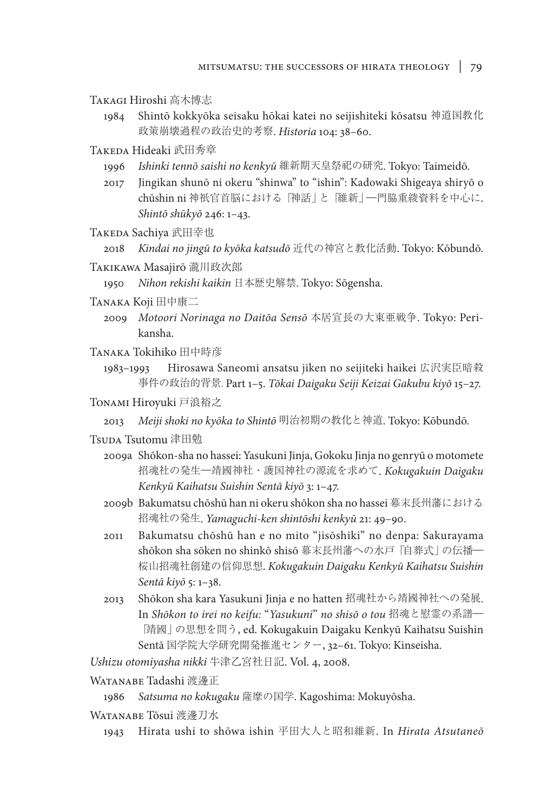Takagi Hiroshi 高木博志

1984 Shintō kokkyōka seisaku hōkai katei no seijishiteki kōsatsu 神道国教化 政策崩壊過程の政治史的考察. *Historia* 104: 38–60.

Takeda Hideaki 武田秀章

- 1996 *Ishinki tennō saishi no kenkyū* 維新期天皇祭祀の研究. Tokyo: Taimeidō.
- 2017 Jingikan shunō ni okeru "shinwa" to "ishin": Kadowaki Shigeaya shiryō o chūshin ni 神祇官首脳における「神話」と「維新」―門脇重綾資料を中心に. *Shintō shūkyō* 246: 1–43.
- Takeda Sachiya 武田幸也
	- 2018 *Kindai no jingū to kyōka katsudō* 近代の神宮と教化活動. Tokyo: Kōbundō.
- Takikawa Masajirō 瀧川政次郎

1950 *Nihon rekishi kaikin* 日本歴史解禁. Tokyo: Sōgensha.

- Tanaka Koji 田中康二
	- 2009 *Motoori Norinaga no Daitōa Sensō* 本居宣長の大東亜戦争. Tokyo: Perikansha.
- Tanaka Tokihiko 田中時彦
	- 1983–1993 Hirosawa Saneomi ansatsu jiken no seijiteki haikei 広沢実臣暗殺 事件の政治的背景. Part 1–5. *Tōkai Daigaku Seiji Keizai Gakubu kiyō* 15–27.
- Tonami Hiroyuki 戸浪裕之
	- 2013 *Meiji shoki no kyōka to Shintō* 明治初期の教化と神道. Tokyo: Kōbundō.
- Tsuda Tsutomu 津田勉
	- 2009a Shōkon-sha no hassei: Yasukuni Jinja, Gokoku Jinja no genryū o motomete 招魂社の発生―靖國神社・護国神社の源流を求めて. *Kokugakuin Daigaku Kenkyū Kaihatsu Suishin Sentā kiyō* 3: 1–47.
	- 2009b Bakumatsu chōshū han ni okeru shōkon sha no hassei 幕末長州藩における 招魂社の発生. *Yamaguchi-ken shintōshi kenkyū* 21: 49–90.
	- 2011 Bakumatsu chōshū han e no mito "jisōshiki" no denpa: Sakurayama shōkon sha sōken no shinkō shisō 幕末長州藩への水戸「自葬式」の伝播― 桜山招魂社創建の信仰思想. *Kokugakuin Daigaku Kenkyū Kaihatsu Suishin Sentā kiyō* 5: 1–38.
	- 2013 Shōkon sha kara Yasukuni Jinja e no hatten 招魂社から靖國神社への発展. In *Shōkon to irei no keifu:* "*Yasukuni*" *no shisō o tou* 招魂と慰霊の系譜― 「靖國」の思想を問う, ed. Kokugakuin Daigaku Kenkyū Kaihatsu Suishin Sentā 国学院大学研究開発推進センター, 32–61. Tokyo: Kinseisha.

*Ushizu otomiyasha nikki* 牛津乙宮社日記. Vol. 4, 2008.

WATANABE Tadashi 渡邊正

1986 *Satsuma no kokugaku* 薩摩の国学. Kagoshima: Mokuyōsha.

- WATANABE Tōsui 渡邊刀水
	- 1943 Hirata ushi to shōwa ishin 平田大人と昭和維新. In *Hirata Atsutaneō*